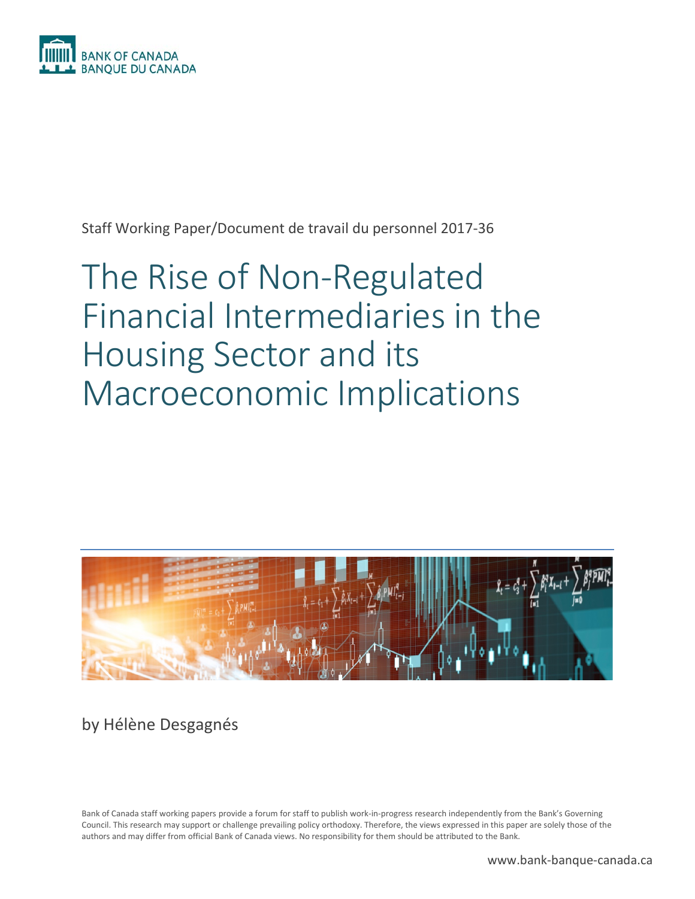

Staff Working Paper/Document de travail du personnel 2017-36

# The Rise of Non-Regulated Financial Intermediaries in the Housing Sector and its Macroeconomic Implications



by Hélène Desgagnés

Bank of Canada staff working papers provide a forum for staff to publish work-in-progress research independently from the Bank's Governing Council. This research may support or challenge prevailing policy orthodoxy. Therefore, the views expressed in this paper are solely those of the authors and may differ from official Bank of Canada views. No responsibility for them should be attributed to the Bank.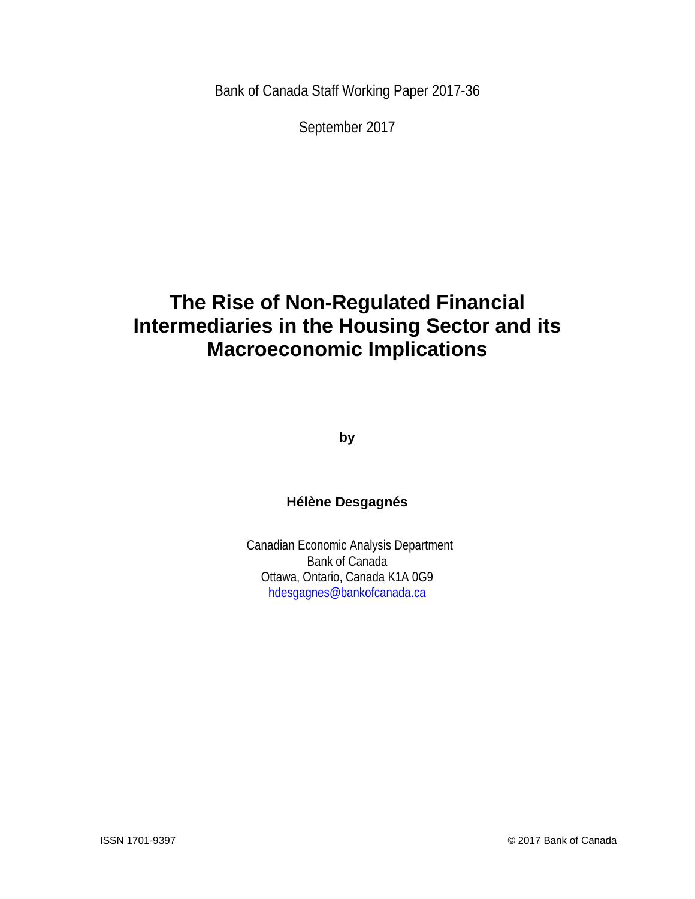Bank of Canada Staff Working Paper 2017-36

September 2017

# **The Rise of Non-Regulated Financial Intermediaries in the Housing Sector and its Macroeconomic Implications**

**by**

### **Hélène Desgagnés**

Canadian Economic Analysis Department Bank of Canada Ottawa, Ontario, Canada K1A 0G9 [hdesgagnes@bankofcanada.ca](mailto:hdesgagnes@bankofcanada.ca)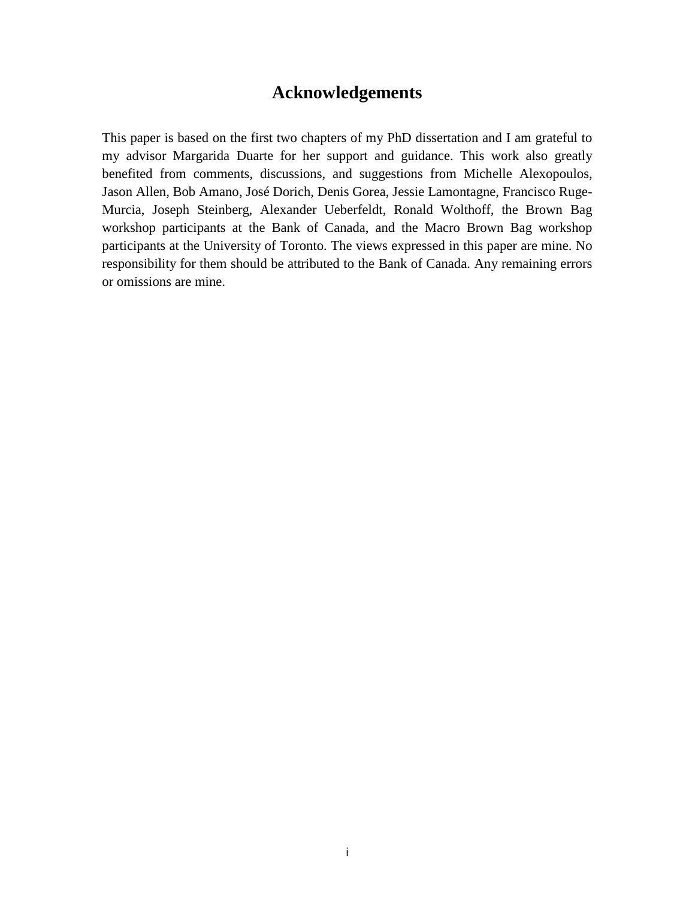# **Acknowledgements**

This paper is based on the first two chapters of my PhD dissertation and I am grateful to my advisor Margarida Duarte for her support and guidance. This work also greatly benefited from comments, discussions, and suggestions from Michelle Alexopoulos, Jason Allen, Bob Amano, José Dorich, Denis Gorea, Jessie Lamontagne, Francisco Ruge-Murcia, Joseph Steinberg, Alexander Ueberfeldt, Ronald Wolthoff, the Brown Bag workshop participants at the Bank of Canada, and the Macro Brown Bag workshop participants at the University of Toronto. The views expressed in this paper are mine. No responsibility for them should be attributed to the Bank of Canada. Any remaining errors or omissions are mine.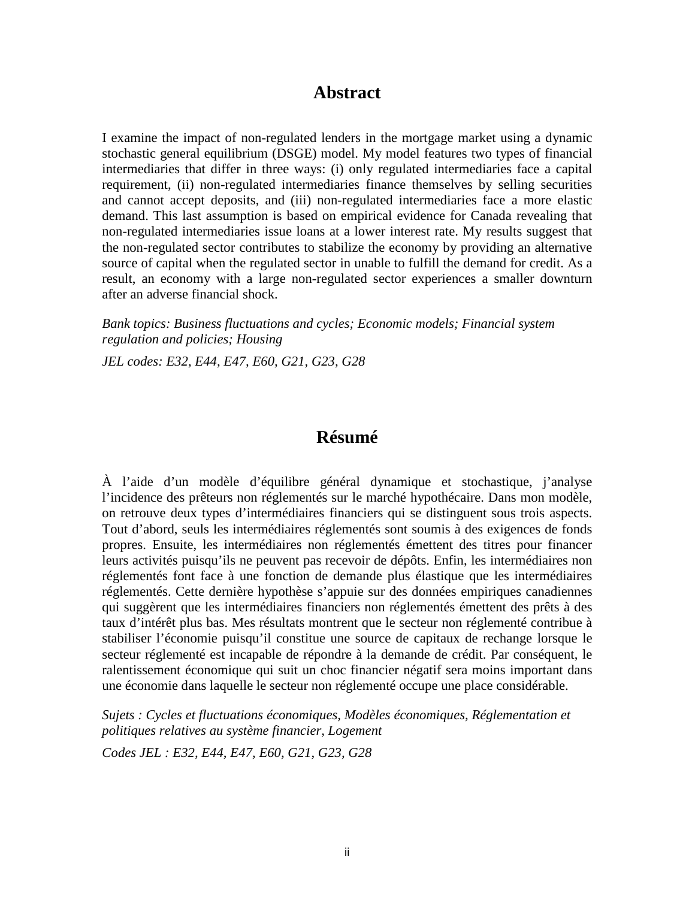### **Abstract**

I examine the impact of non-regulated lenders in the mortgage market using a dynamic stochastic general equilibrium (DSGE) model. My model features two types of financial intermediaries that differ in three ways: (i) only regulated intermediaries face a capital requirement, (ii) non-regulated intermediaries finance themselves by selling securities and cannot accept deposits, and (iii) non-regulated intermediaries face a more elastic demand. This last assumption is based on empirical evidence for Canada revealing that non-regulated intermediaries issue loans at a lower interest rate. My results suggest that the non-regulated sector contributes to stabilize the economy by providing an alternative source of capital when the regulated sector in unable to fulfill the demand for credit. As a result, an economy with a large non-regulated sector experiences a smaller downturn after an adverse financial shock.

*Bank topics: Business fluctuations and cycles; Economic models; Financial system regulation and policies; Housing*

*JEL codes: E32, E44, E47, E60, G21, G23, G28*

# **Résumé**

À l'aide d'un modèle d'équilibre général dynamique et stochastique, j'analyse l'incidence des prêteurs non réglementés sur le marché hypothécaire. Dans mon modèle, on retrouve deux types d'intermédiaires financiers qui se distinguent sous trois aspects. Tout d'abord, seuls les intermédiaires réglementés sont soumis à des exigences de fonds propres. Ensuite, les intermédiaires non réglementés émettent des titres pour financer leurs activités puisqu'ils ne peuvent pas recevoir de dépôts. Enfin, les intermédiaires non réglementés font face à une fonction de demande plus élastique que les intermédiaires réglementés. Cette dernière hypothèse s'appuie sur des données empiriques canadiennes qui suggèrent que les intermédiaires financiers non réglementés émettent des prêts à des taux d'intérêt plus bas. Mes résultats montrent que le secteur non réglementé contribue à stabiliser l'économie puisqu'il constitue une source de capitaux de rechange lorsque le secteur réglementé est incapable de répondre à la demande de crédit. Par conséquent, le ralentissement économique qui suit un choc financier négatif sera moins important dans une économie dans laquelle le secteur non réglementé occupe une place considérable.

*Sujets : Cycles et fluctuations économiques, Modèles économiques, Réglementation et politiques relatives au système financier, Logement*

*Codes JEL : E32, E44, E47, E60, G21, G23, G28*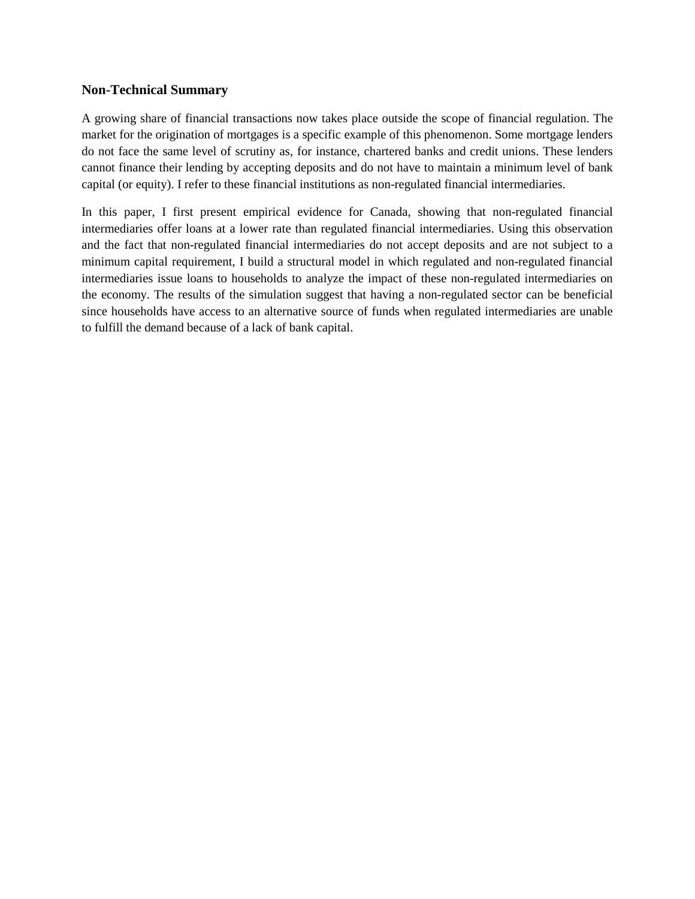#### **Non-Technical Summary**

A growing share of financial transactions now takes place outside the scope of financial regulation. The market for the origination of mortgages is a specific example of this phenomenon. Some mortgage lenders do not face the same level of scrutiny as, for instance, chartered banks and credit unions. These lenders cannot finance their lending by accepting deposits and do not have to maintain a minimum level of bank capital (or equity). I refer to these financial institutions as non-regulated financial intermediaries.

In this paper, I first present empirical evidence for Canada, showing that non-regulated financial intermediaries offer loans at a lower rate than regulated financial intermediaries. Using this observation and the fact that non-regulated financial intermediaries do not accept deposits and are not subject to a minimum capital requirement, I build a structural model in which regulated and non-regulated financial intermediaries issue loans to households to analyze the impact of these non-regulated intermediaries on the economy. The results of the simulation suggest that having a non-regulated sector can be beneficial since households have access to an alternative source of funds when regulated intermediaries are unable to fulfill the demand because of a lack of bank capital.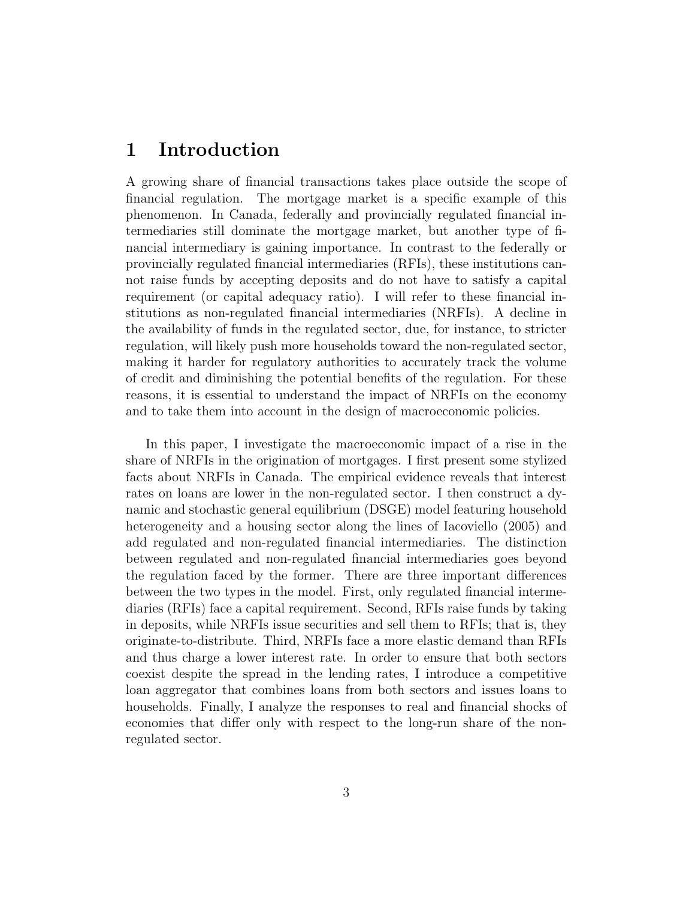## 1 Introduction

A growing share of financial transactions takes place outside the scope of financial regulation. The mortgage market is a specific example of this phenomenon. In Canada, federally and provincially regulated financial intermediaries still dominate the mortgage market, but another type of financial intermediary is gaining importance. In contrast to the federally or provincially regulated financial intermediaries (RFIs), these institutions cannot raise funds by accepting deposits and do not have to satisfy a capital requirement (or capital adequacy ratio). I will refer to these financial institutions as non-regulated financial intermediaries (NRFIs). A decline in the availability of funds in the regulated sector, due, for instance, to stricter regulation, will likely push more households toward the non-regulated sector, making it harder for regulatory authorities to accurately track the volume of credit and diminishing the potential benefits of the regulation. For these reasons, it is essential to understand the impact of NRFIs on the economy and to take them into account in the design of macroeconomic policies.

In this paper, I investigate the macroeconomic impact of a rise in the share of NRFIs in the origination of mortgages. I first present some stylized facts about NRFIs in Canada. The empirical evidence reveals that interest rates on loans are lower in the non-regulated sector. I then construct a dynamic and stochastic general equilibrium (DSGE) model featuring household heterogeneity and a housing sector along the lines of Iacoviello (2005) and add regulated and non-regulated financial intermediaries. The distinction between regulated and non-regulated financial intermediaries goes beyond the regulation faced by the former. There are three important differences between the two types in the model. First, only regulated financial intermediaries (RFIs) face a capital requirement. Second, RFIs raise funds by taking in deposits, while NRFIs issue securities and sell them to RFIs; that is, they originate-to-distribute. Third, NRFIs face a more elastic demand than RFIs and thus charge a lower interest rate. In order to ensure that both sectors coexist despite the spread in the lending rates, I introduce a competitive loan aggregator that combines loans from both sectors and issues loans to households. Finally, I analyze the responses to real and financial shocks of economies that differ only with respect to the long-run share of the nonregulated sector.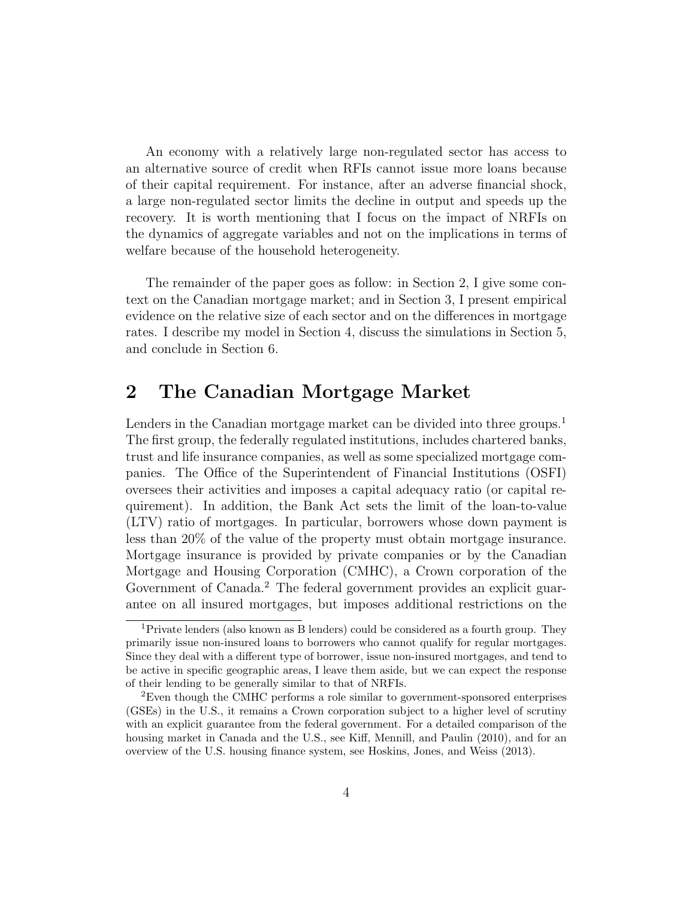An economy with a relatively large non-regulated sector has access to an alternative source of credit when RFIs cannot issue more loans because of their capital requirement. For instance, after an adverse financial shock, a large non-regulated sector limits the decline in output and speeds up the recovery. It is worth mentioning that I focus on the impact of NRFIs on the dynamics of aggregate variables and not on the implications in terms of welfare because of the household heterogeneity.

The remainder of the paper goes as follow: in Section 2, I give some context on the Canadian mortgage market; and in Section 3, I present empirical evidence on the relative size of each sector and on the differences in mortgage rates. I describe my model in Section 4, discuss the simulations in Section 5, and conclude in Section 6.

# 2 The Canadian Mortgage Market

Lenders in the Canadian mortgage market can be divided into three groups.<sup>1</sup> The first group, the federally regulated institutions, includes chartered banks, trust and life insurance companies, as well as some specialized mortgage companies. The Office of the Superintendent of Financial Institutions (OSFI) oversees their activities and imposes a capital adequacy ratio (or capital requirement). In addition, the Bank Act sets the limit of the loan-to-value (LTV) ratio of mortgages. In particular, borrowers whose down payment is less than 20% of the value of the property must obtain mortgage insurance. Mortgage insurance is provided by private companies or by the Canadian Mortgage and Housing Corporation (CMHC), a Crown corporation of the Government of Canada.<sup>2</sup> The federal government provides an explicit guarantee on all insured mortgages, but imposes additional restrictions on the

<sup>1</sup>Private lenders (also known as B lenders) could be considered as a fourth group. They primarily issue non-insured loans to borrowers who cannot qualify for regular mortgages. Since they deal with a different type of borrower, issue non-insured mortgages, and tend to be active in specific geographic areas, I leave them aside, but we can expect the response of their lending to be generally similar to that of NRFIs.

<sup>2</sup>Even though the CMHC performs a role similar to government-sponsored enterprises (GSEs) in the U.S., it remains a Crown corporation subject to a higher level of scrutiny with an explicit guarantee from the federal government. For a detailed comparison of the housing market in Canada and the U.S., see Kiff, Mennill, and Paulin (2010), and for an overview of the U.S. housing finance system, see Hoskins, Jones, and Weiss (2013).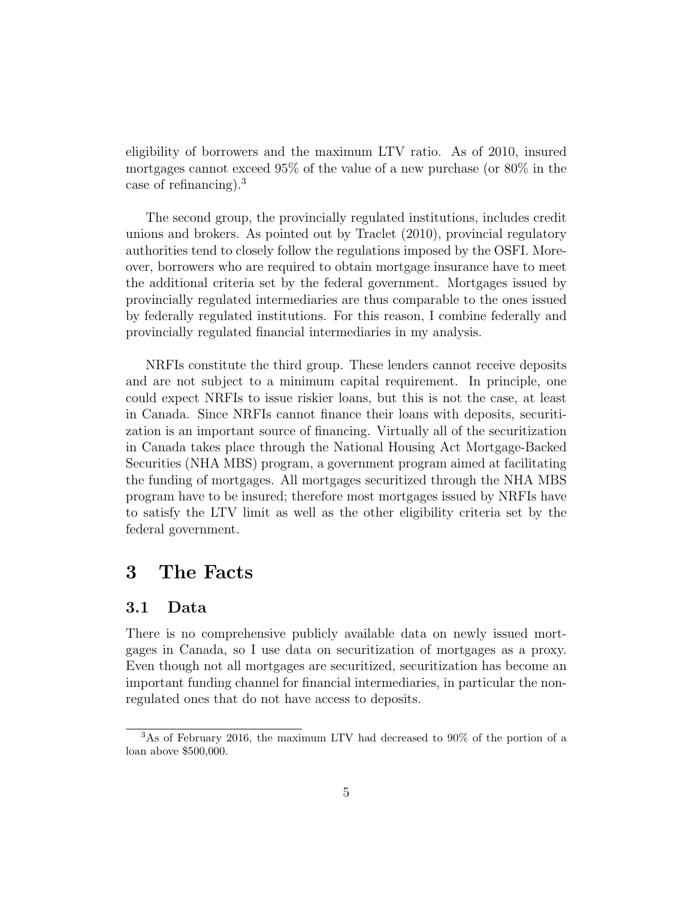eligibility of borrowers and the maximum LTV ratio. As of 2010, insured mortgages cannot exceed 95% of the value of a new purchase (or 80% in the case of refinancing).<sup>3</sup>

The second group, the provincially regulated institutions, includes credit unions and brokers. As pointed out by Traclet (2010), provincial regulatory authorities tend to closely follow the regulations imposed by the OSFI. Moreover, borrowers who are required to obtain mortgage insurance have to meet the additional criteria set by the federal government. Mortgages issued by provincially regulated intermediaries are thus comparable to the ones issued by federally regulated institutions. For this reason, I combine federally and provincially regulated financial intermediaries in my analysis.

NRFIs constitute the third group. These lenders cannot receive deposits and are not subject to a minimum capital requirement. In principle, one could expect NRFIs to issue riskier loans, but this is not the case, at least in Canada. Since NRFIs cannot finance their loans with deposits, securitization is an important source of financing. Virtually all of the securitization in Canada takes place through the National Housing Act Mortgage-Backed Securities (NHA MBS) program, a government program aimed at facilitating the funding of mortgages. All mortgages securitized through the NHA MBS program have to be insured; therefore most mortgages issued by NRFIs have to satisfy the LTV limit as well as the other eligibility criteria set by the federal government.

# 3 The Facts

#### 3.1 Data

There is no comprehensive publicly available data on newly issued mortgages in Canada, so I use data on securitization of mortgages as a proxy. Even though not all mortgages are securitized, securitization has become an important funding channel for financial intermediaries, in particular the nonregulated ones that do not have access to deposits.

<sup>3</sup>As of February 2016, the maximum LTV had decreased to 90% of the portion of a loan above \$500,000.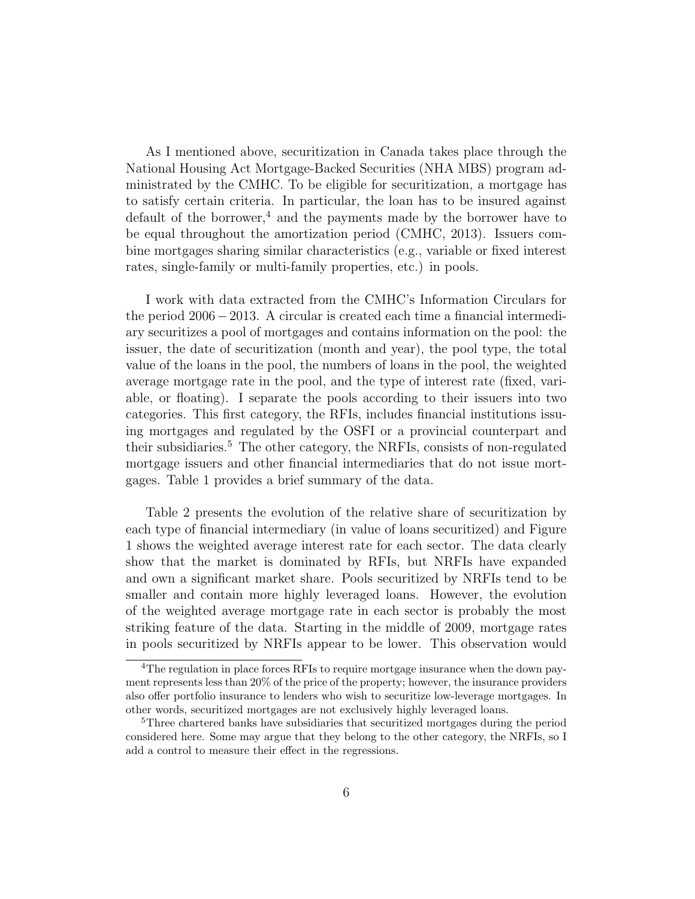As I mentioned above, securitization in Canada takes place through the National Housing Act Mortgage-Backed Securities (NHA MBS) program administrated by the CMHC. To be eligible for securitization, a mortgage has to satisfy certain criteria. In particular, the loan has to be insured against default of the borrower,<sup>4</sup> and the payments made by the borrower have to be equal throughout the amortization period (CMHC, 2013). Issuers combine mortgages sharing similar characteristics (e.g., variable or fixed interest rates, single-family or multi-family properties, etc.) in pools.

I work with data extracted from the CMHC's Information Circulars for the period 2006−2013. A circular is created each time a financial intermediary securitizes a pool of mortgages and contains information on the pool: the issuer, the date of securitization (month and year), the pool type, the total value of the loans in the pool, the numbers of loans in the pool, the weighted average mortgage rate in the pool, and the type of interest rate (fixed, variable, or floating). I separate the pools according to their issuers into two categories. This first category, the RFIs, includes financial institutions issuing mortgages and regulated by the OSFI or a provincial counterpart and their subsidiaries.<sup>5</sup> The other category, the NRFIs, consists of non-regulated mortgage issuers and other financial intermediaries that do not issue mortgages. Table 1 provides a brief summary of the data.

Table 2 presents the evolution of the relative share of securitization by each type of financial intermediary (in value of loans securitized) and Figure 1 shows the weighted average interest rate for each sector. The data clearly show that the market is dominated by RFIs, but NRFIs have expanded and own a significant market share. Pools securitized by NRFIs tend to be smaller and contain more highly leveraged loans. However, the evolution of the weighted average mortgage rate in each sector is probably the most striking feature of the data. Starting in the middle of 2009, mortgage rates in pools securitized by NRFIs appear to be lower. This observation would

<sup>&</sup>lt;sup>4</sup>The regulation in place forces RFIs to require mortgage insurance when the down payment represents less than 20% of the price of the property; however, the insurance providers also offer portfolio insurance to lenders who wish to securitize low-leverage mortgages. In other words, securitized mortgages are not exclusively highly leveraged loans.

<sup>5</sup>Three chartered banks have subsidiaries that securitized mortgages during the period considered here. Some may argue that they belong to the other category, the NRFIs, so I add a control to measure their effect in the regressions.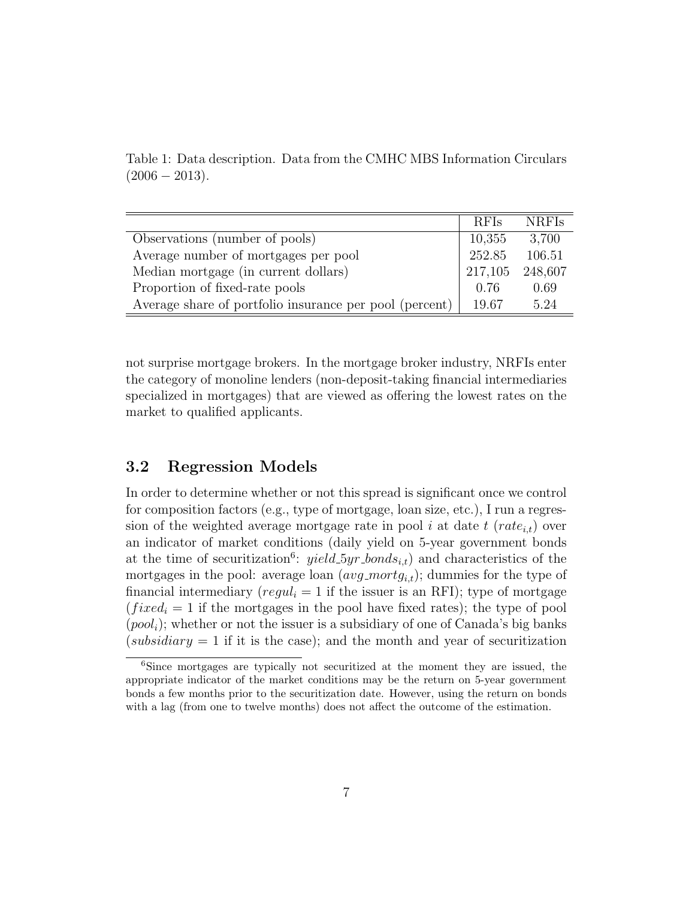|                                                         | <b>RFIs</b> | <b>NRFIs</b> |
|---------------------------------------------------------|-------------|--------------|
| Observations (number of pools)                          | 10,355      | 3,700        |
| Average number of mortgages per pool                    | 252.85      | 106.51       |
| Median mortgage (in current dollars)                    | 217,105     | 248,607      |
| Proportion of fixed-rate pools                          | 0.76        | 0.69         |
| Average share of portfolio insurance per pool (percent) | 19.67       | 5 24         |

Table 1: Data description. Data from the CMHC MBS Information Circulars  $(2006 - 2013).$ 

not surprise mortgage brokers. In the mortgage broker industry, NRFIs enter the category of monoline lenders (non-deposit-taking financial intermediaries specialized in mortgages) that are viewed as offering the lowest rates on the market to qualified applicants.

#### 3.2 Regression Models

In order to determine whether or not this spread is significant once we control for composition factors (e.g., type of mortgage, loan size, etc.), I run a regression of the weighted average mortgage rate in pool i at date  $t$  (rate<sub>i,t</sub>) over an indicator of market conditions (daily yield on 5-year government bonds at the time of securitization<sup>6</sup>:  $yield\_5yr\_bonds_{i,t}$  and characteristics of the mortgages in the pool: average loan  $(avg\_mortg_{i,t})$ ; dummies for the type of financial intermediary ( $regul_i = 1$  if the issuer is an RFI); type of mortgage  $(fixed<sub>i</sub> = 1$  if the mortgages in the pool have fixed rates); the type of pool  $(pool<sub>i</sub>)$ ; whether or not the issuer is a subsidiary of one of Canada's big banks (subsidiary  $= 1$  if it is the case); and the month and year of securitization

<sup>6</sup>Since mortgages are typically not securitized at the moment they are issued, the appropriate indicator of the market conditions may be the return on 5-year government bonds a few months prior to the securitization date. However, using the return on bonds with a lag (from one to twelve months) does not affect the outcome of the estimation.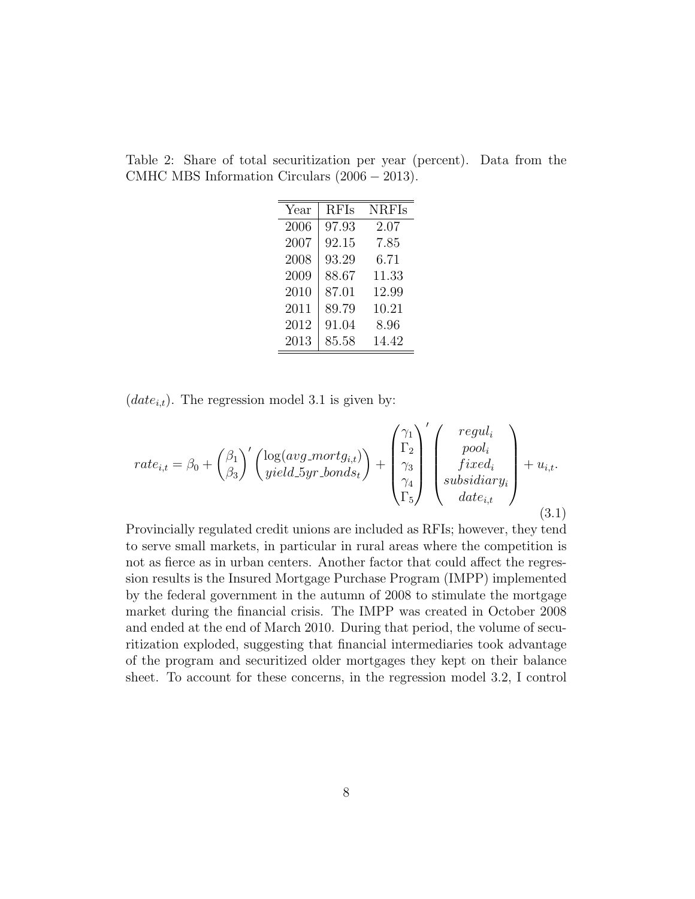| Year | <b>RFIs</b> | <b>NRFIs</b> |
|------|-------------|--------------|
| 2006 | 97.93       | 2.07         |
| 2007 | 92.15       | 7.85         |
| 2008 | 93.29       | 6.71         |
| 2009 | 88.67       | 11.33        |
| 2010 | 87.01       | 12.99        |
| 2011 | 89.79       | 10.21        |
| 2012 | 91.04       | 8.96         |
| 2013 | 85.58       | 14.42        |

Table 2: Share of total securitization per year (percent). Data from the CMHC MBS Information Circulars (2006 − 2013).

 $(data_{i,t})$ . The regression model 3.1 is given by:

$$
rate_{i,t} = \beta_0 + \begin{pmatrix} \beta_1 \\ \beta_3 \end{pmatrix}' \begin{pmatrix} \log(avg\_mortg_{i,t}) \\ yield\_5yr\_bonds_t \end{pmatrix} + \begin{pmatrix} \gamma_1 \\ \Gamma_2 \\ \gamma_3 \\ \gamma_4 \\ \Gamma_5 \end{pmatrix}' \begin{pmatrix} regul_i \\ pool_i \\ fixed_i \\ subsidiary_i \\ date_{i,t} \end{pmatrix} + u_{i,t}.
$$
\n(3.1)

Provincially regulated credit unions are included as RFIs; however, they tend to serve small markets, in particular in rural areas where the competition is not as fierce as in urban centers. Another factor that could affect the regression results is the Insured Mortgage Purchase Program (IMPP) implemented by the federal government in the autumn of 2008 to stimulate the mortgage market during the financial crisis. The IMPP was created in October 2008 and ended at the end of March 2010. During that period, the volume of securitization exploded, suggesting that financial intermediaries took advantage of the program and securitized older mortgages they kept on their balance sheet. To account for these concerns, in the regression model 3.2, I control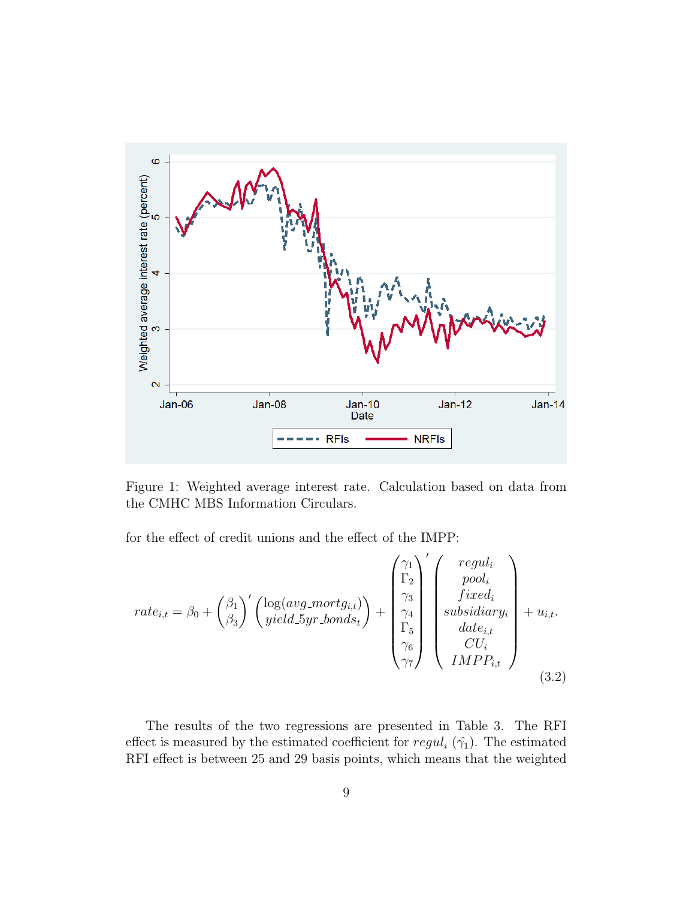

Figure 1: Weighted average interest rate. Calculation based on data from the CMHC MBS Information Circulars.

for the effect of credit unions and the effect of the IMPP:

$$
rate_{i,t} = \beta_0 + {\beta_1 \choose \beta_3}^{\prime} {\log(avg\_mortg_{i,t}) \choose yield.5yr. bonds_t} + {\gamma_1 \choose \gamma_4 \choose \gamma_5 \choose \gamma_6 \choose \gamma_7 \choose \gamma_7}^{\prime} {\left(\begin{array}{c} regul_i \\ pool_i \\ fixed_i \\ subset \\ date_{i,t} \\ CU_i \\ IMPP_{i,t} \end{array}\right)} + u_{i,t}. \tag{3.2}
$$

The results of the two regressions are presented in Table 3. The RFI effect is measured by the estimated coefficient for  $regul_i(\hat{\gamma}_1)$ . The estimated RFI effect is between 25 and 29 basis points, which means that the weighted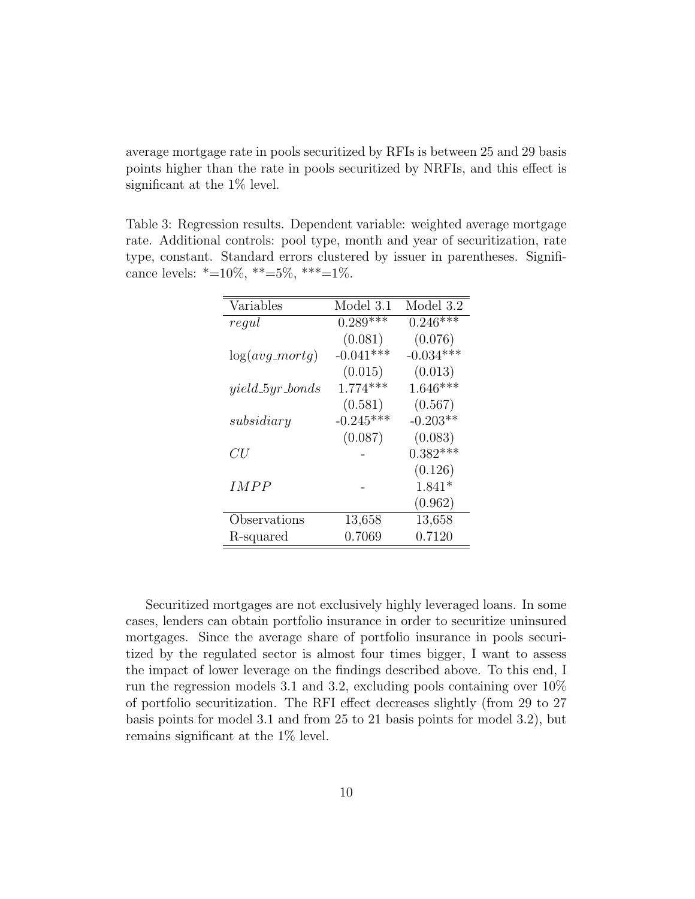average mortgage rate in pools securitized by RFIs is between 25 and 29 basis points higher than the rate in pools securitized by NRFIs, and this effect is significant at the 1% level.

Table 3: Regression results. Dependent variable: weighted average mortgage rate. Additional controls: pool type, month and year of securitization, rate type, constant. Standard errors clustered by issuer in parentheses. Significance levels:  $*=10\%, **=5\%, **=1\%.$ 

| Variables           | Model 3.1   | Model 3.2   |
|---------------------|-------------|-------------|
| regul               | $0.289***$  | $0.246***$  |
|                     | (0.081)     | (0.076)     |
| $log(avg_mortg)$    | $-0.041***$ | $-0.034***$ |
|                     | (0.015)     | (0.013)     |
| $yield\_5yr\_bonds$ | $1.774***$  | $1.646***$  |
|                     | (0.581)     | (0.567)     |
| subsidiary          | $-0.245***$ | $-0.203**$  |
|                     | (0.087)     | (0.083)     |
| CU                  |             | $0.382***$  |
|                     |             | (0.126)     |
| IMPP                |             | $1.841*$    |
|                     |             | (0.962)     |
| Observations        | 13,658      | 13,658      |
| R-squared           | 0.7069      | 0.7120      |

Securitized mortgages are not exclusively highly leveraged loans. In some cases, lenders can obtain portfolio insurance in order to securitize uninsured mortgages. Since the average share of portfolio insurance in pools securitized by the regulated sector is almost four times bigger, I want to assess the impact of lower leverage on the findings described above. To this end, I run the regression models 3.1 and 3.2, excluding pools containing over 10% of portfolio securitization. The RFI effect decreases slightly (from 29 to 27 basis points for model 3.1 and from 25 to 21 basis points for model 3.2), but remains significant at the 1% level.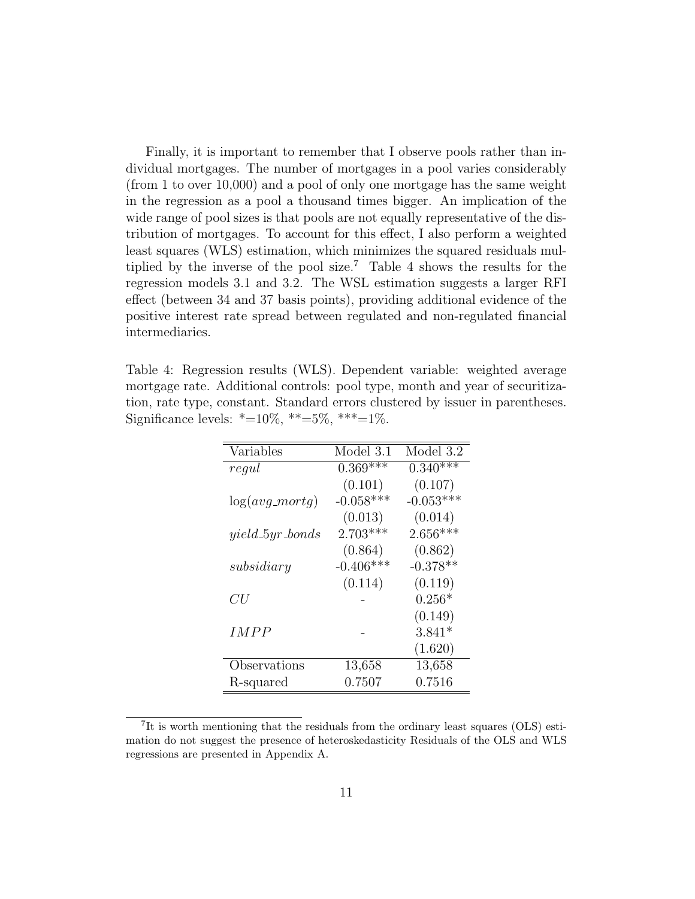Finally, it is important to remember that I observe pools rather than individual mortgages. The number of mortgages in a pool varies considerably (from 1 to over 10,000) and a pool of only one mortgage has the same weight in the regression as a pool a thousand times bigger. An implication of the wide range of pool sizes is that pools are not equally representative of the distribution of mortgages. To account for this effect, I also perform a weighted least squares (WLS) estimation, which minimizes the squared residuals multiplied by the inverse of the pool size.<sup>7</sup> Table 4 shows the results for the regression models 3.1 and 3.2. The WSL estimation suggests a larger RFI effect (between 34 and 37 basis points), providing additional evidence of the positive interest rate spread between regulated and non-regulated financial intermediaries.

Table 4: Regression results (WLS). Dependent variable: weighted average mortgage rate. Additional controls: pool type, month and year of securitization, rate type, constant. Standard errors clustered by issuer in parentheses. Significance levels:  $*=10\%, **=5\%, **=1\%.$ 

| Variables           | Model 3.1   | Model 3.2   |
|---------------------|-------------|-------------|
| regul               | $0.369***$  | $0.340***$  |
|                     | (0.101)     | (0.107)     |
| $log(avg_mortg)$    | $-0.058***$ | $-0.053***$ |
|                     | (0.013)     | (0.014)     |
| $yield\_5yr\_bonds$ | $2.703***$  | $2.656***$  |
|                     | (0.864)     | (0.862)     |
| subsidiary          | $-0.406***$ | $-0.378**$  |
|                     | (0.114)     | (0.119)     |
| CU                  |             | $0.256*$    |
|                     |             | (0.149)     |
| IMPP                |             | $3.841*$    |
|                     |             | (1.620)     |
| Observations        | 13,658      | 13,658      |
| R-squared           | 0.7507      | 0.7516      |

<sup>&</sup>lt;sup>7</sup>It is worth mentioning that the residuals from the ordinary least squares (OLS) estimation do not suggest the presence of heteroskedasticity Residuals of the OLS and WLS regressions are presented in Appendix A.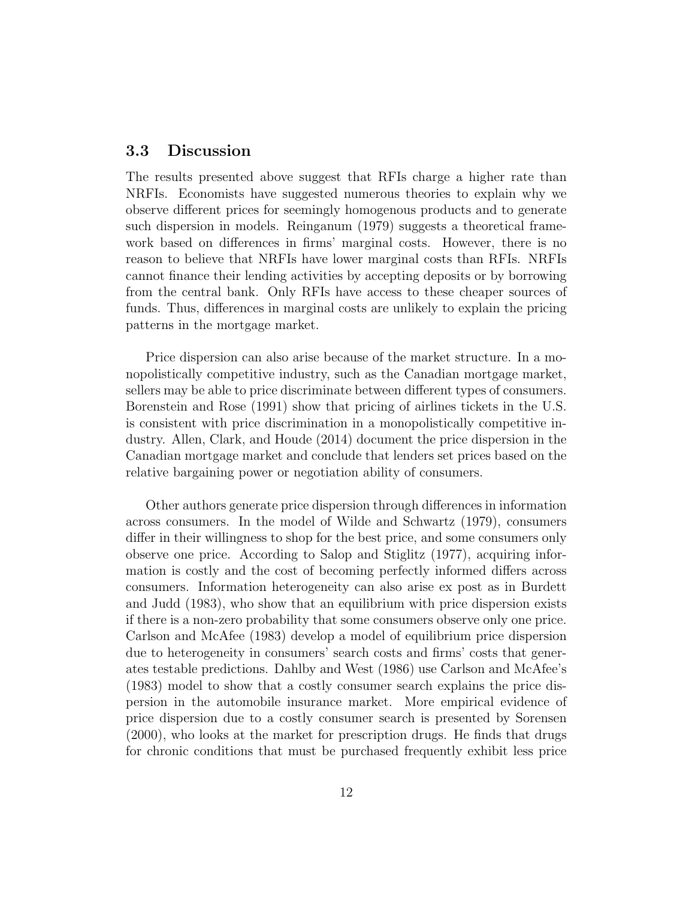#### 3.3 Discussion

The results presented above suggest that RFIs charge a higher rate than NRFIs. Economists have suggested numerous theories to explain why we observe different prices for seemingly homogenous products and to generate such dispersion in models. Reinganum (1979) suggests a theoretical framework based on differences in firms' marginal costs. However, there is no reason to believe that NRFIs have lower marginal costs than RFIs. NRFIs cannot finance their lending activities by accepting deposits or by borrowing from the central bank. Only RFIs have access to these cheaper sources of funds. Thus, differences in marginal costs are unlikely to explain the pricing patterns in the mortgage market.

Price dispersion can also arise because of the market structure. In a monopolistically competitive industry, such as the Canadian mortgage market, sellers may be able to price discriminate between different types of consumers. Borenstein and Rose (1991) show that pricing of airlines tickets in the U.S. is consistent with price discrimination in a monopolistically competitive industry. Allen, Clark, and Houde (2014) document the price dispersion in the Canadian mortgage market and conclude that lenders set prices based on the relative bargaining power or negotiation ability of consumers.

Other authors generate price dispersion through differences in information across consumers. In the model of Wilde and Schwartz (1979), consumers differ in their willingness to shop for the best price, and some consumers only observe one price. According to Salop and Stiglitz (1977), acquiring information is costly and the cost of becoming perfectly informed differs across consumers. Information heterogeneity can also arise ex post as in Burdett and Judd (1983), who show that an equilibrium with price dispersion exists if there is a non-zero probability that some consumers observe only one price. Carlson and McAfee (1983) develop a model of equilibrium price dispersion due to heterogeneity in consumers' search costs and firms' costs that generates testable predictions. Dahlby and West (1986) use Carlson and McAfee's (1983) model to show that a costly consumer search explains the price dispersion in the automobile insurance market. More empirical evidence of price dispersion due to a costly consumer search is presented by Sorensen (2000), who looks at the market for prescription drugs. He finds that drugs for chronic conditions that must be purchased frequently exhibit less price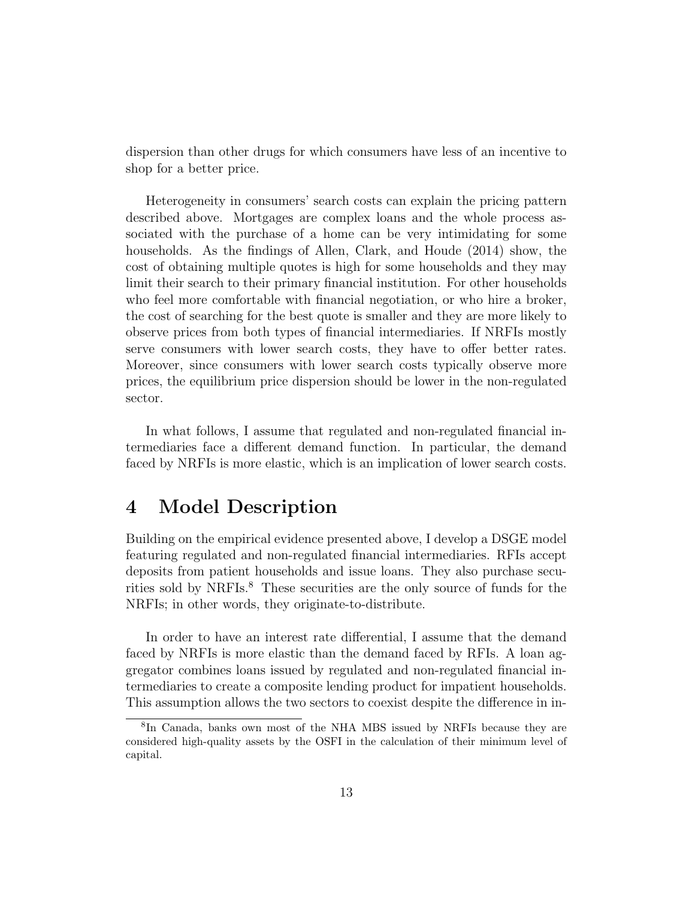dispersion than other drugs for which consumers have less of an incentive to shop for a better price.

Heterogeneity in consumers' search costs can explain the pricing pattern described above. Mortgages are complex loans and the whole process associated with the purchase of a home can be very intimidating for some households. As the findings of Allen, Clark, and Houde (2014) show, the cost of obtaining multiple quotes is high for some households and they may limit their search to their primary financial institution. For other households who feel more comfortable with financial negotiation, or who hire a broker, the cost of searching for the best quote is smaller and they are more likely to observe prices from both types of financial intermediaries. If NRFIs mostly serve consumers with lower search costs, they have to offer better rates. Moreover, since consumers with lower search costs typically observe more prices, the equilibrium price dispersion should be lower in the non-regulated sector.

In what follows, I assume that regulated and non-regulated financial intermediaries face a different demand function. In particular, the demand faced by NRFIs is more elastic, which is an implication of lower search costs.

# 4 Model Description

Building on the empirical evidence presented above, I develop a DSGE model featuring regulated and non-regulated financial intermediaries. RFIs accept deposits from patient households and issue loans. They also purchase securities sold by NRFIs.<sup>8</sup> These securities are the only source of funds for the NRFIs; in other words, they originate-to-distribute.

In order to have an interest rate differential, I assume that the demand faced by NRFIs is more elastic than the demand faced by RFIs. A loan aggregator combines loans issued by regulated and non-regulated financial intermediaries to create a composite lending product for impatient households. This assumption allows the two sectors to coexist despite the difference in in-

<sup>8</sup> In Canada, banks own most of the NHA MBS issued by NRFIs because they are considered high-quality assets by the OSFI in the calculation of their minimum level of capital.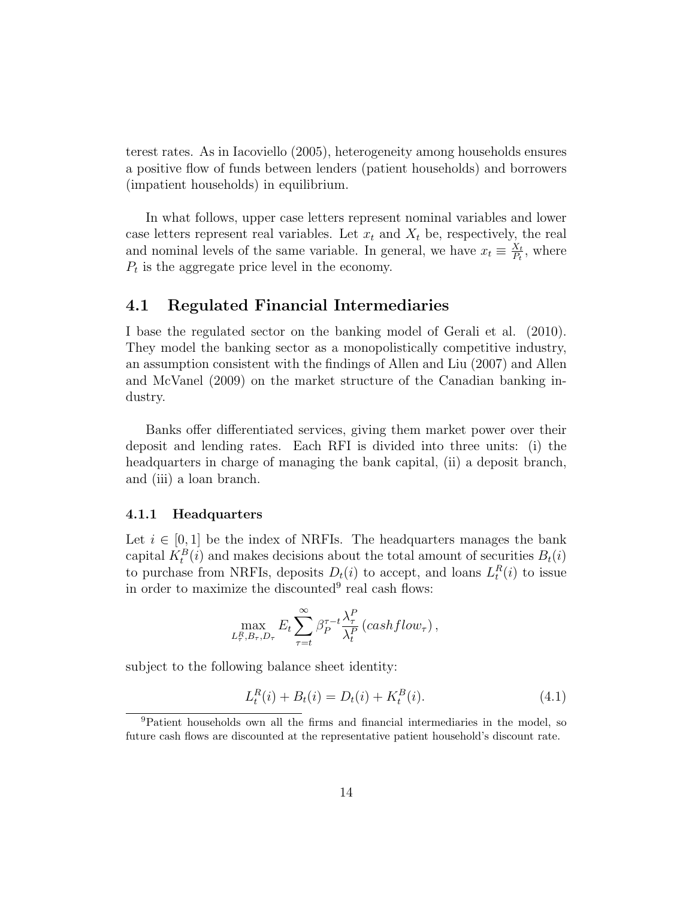terest rates. As in Iacoviello (2005), heterogeneity among households ensures a positive flow of funds between lenders (patient households) and borrowers (impatient households) in equilibrium.

In what follows, upper case letters represent nominal variables and lower case letters represent real variables. Let  $x_t$  and  $X_t$  be, respectively, the real and nominal levels of the same variable. In general, we have  $x_t \equiv \frac{X_t}{P_t}$  $\frac{X_t}{P_t}$ , where  $P_t$  is the aggregate price level in the economy.

#### 4.1 Regulated Financial Intermediaries

I base the regulated sector on the banking model of Gerali et al. (2010). They model the banking sector as a monopolistically competitive industry, an assumption consistent with the findings of Allen and Liu (2007) and Allen and McVanel (2009) on the market structure of the Canadian banking industry.

Banks offer differentiated services, giving them market power over their deposit and lending rates. Each RFI is divided into three units: (i) the headquarters in charge of managing the bank capital, (ii) a deposit branch, and (iii) a loan branch.

#### 4.1.1 Headquarters

Let  $i \in [0, 1]$  be the index of NRFIs. The headquarters manages the bank capital  $K_t^B(i)$  and makes decisions about the total amount of securities  $B_t(i)$ to purchase from NRFIs, deposits  $D_t(i)$  to accept, and loans  $L_t^R(i)$  to issue in order to maximize the discounted<sup>9</sup> real cash flows:

$$
\max_{L^R_\tau, B_\tau, D_\tau} E_t \sum_{\tau=t}^{\infty} \beta_P^{\tau-t} \frac{\lambda_\tau^P}{\lambda_t^P} \left( \cosh f low_\tau \right),
$$

subject to the following balance sheet identity:

$$
L_t^R(i) + B_t(i) = D_t(i) + K_t^B(i).
$$
\n(4.1)

<sup>9</sup>Patient households own all the firms and financial intermediaries in the model, so future cash flows are discounted at the representative patient household's discount rate.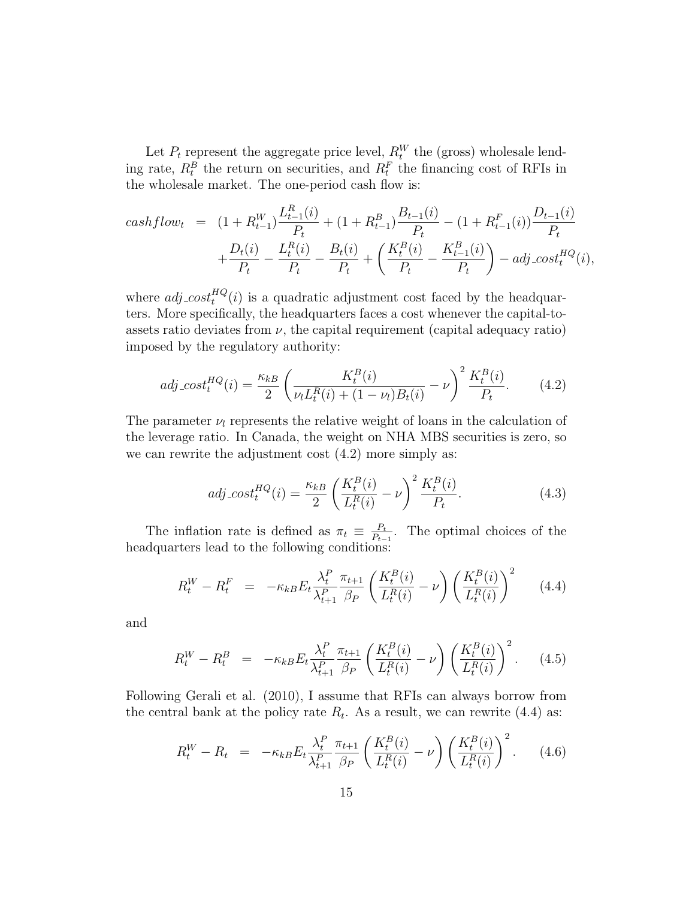Let  $P_t$  represent the aggregate price level,  $R_t^W$  the (gross) wholesale lending rate,  $R_t^B$  the return on securities, and  $R_t^F$  the financing cost of RFIs in the wholesale market. The one-period cash flow is:

$$
cashflow_t = (1 + R_{t-1}^W) \frac{L_{t-1}^R(i)}{P_t} + (1 + R_{t-1}^B) \frac{B_{t-1}(i)}{P_t} - (1 + R_{t-1}^F(i)) \frac{D_{t-1}(i)}{P_t} + \frac{D_t(i)}{P_t} - \frac{L_t^R(i)}{P_t} - \frac{B_t(i)}{P_t} + \left(\frac{K_t^B(i)}{P_t} - \frac{K_{t-1}^B(i)}{P_t}\right) - adj\cost_t^{HQ}(i),
$$

where  $adj\_{cost}^{HQ}(i)$  is a quadratic adjustment cost faced by the headquarters. More specifically, the headquarters faces a cost whenever the capital-toassets ratio deviates from  $\nu$ , the capital requirement (capital adequacy ratio) imposed by the regulatory authority:

$$
adj\_{cost}^{HQ}(i) = \frac{\kappa_{kB}}{2} \left( \frac{K_t^B(i)}{\nu_l L_t^R(i) + (1 - \nu_l)B_t(i)} - \nu \right)^2 \frac{K_t^B(i)}{P_t}.
$$
 (4.2)

The parameter  $\nu_l$  represents the relative weight of loans in the calculation of the leverage ratio. In Canada, the weight on NHA MBS securities is zero, so we can rewrite the adjustment cost  $(4.2)$  more simply as:

$$
adj\_{cost}^{HQ}(i) = \frac{\kappa_{kB}}{2} \left( \frac{K_t^B(i)}{L_t^R(i)} - \nu \right)^2 \frac{K_t^B(i)}{P_t}.
$$
\n(4.3)

The inflation rate is defined as  $\pi_t \equiv \frac{P_t}{P_t}$  $\frac{P_t}{P_{t-1}}$ . The optimal choices of the headquarters lead to the following conditions:

$$
R_t^W - R_t^F = -\kappa_{kB} E_t \frac{\lambda_t^P}{\lambda_{t+1}^P} \frac{\pi_{t+1}}{\beta_P} \left( \frac{K_t^B(i)}{L_t^R(i)} - \nu \right) \left( \frac{K_t^B(i)}{L_t^R(i)} \right)^2 \tag{4.4}
$$

and

$$
R_t^W - R_t^B = -\kappa_{kB} E_t \frac{\lambda_t^P}{\lambda_{t+1}^P} \frac{\pi_{t+1}}{\beta_P} \left( \frac{K_t^B(i)}{L_t^R(i)} - \nu \right) \left( \frac{K_t^B(i)}{L_t^R(i)} \right)^2.
$$
 (4.5)

Following Gerali et al. (2010), I assume that RFIs can always borrow from the central bank at the policy rate  $R_t$ . As a result, we can rewrite (4.4) as:

$$
R_t^W - R_t = -\kappa_{kB} E_t \frac{\lambda_t^P}{\lambda_{t+1}^P} \frac{\pi_{t+1}}{\beta_P} \left( \frac{K_t^B(i)}{L_t^R(i)} - \nu \right) \left( \frac{K_t^B(i)}{L_t^R(i)} \right)^2.
$$
 (4.6)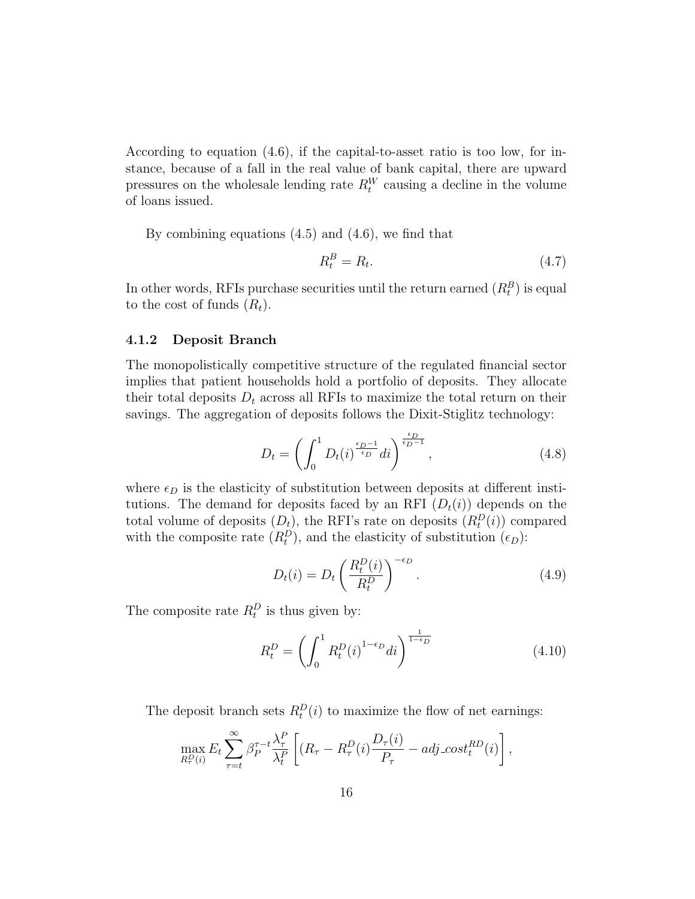According to equation (4.6), if the capital-to-asset ratio is too low, for instance, because of a fall in the real value of bank capital, there are upward pressures on the wholesale lending rate  $R_t^W$  causing a decline in the volume of loans issued.

By combining equations (4.5) and (4.6), we find that

$$
R_t^B = R_t. \tag{4.7}
$$

In other words, RFIs purchase securities until the return earned  $(R_t^B)$  is equal to the cost of funds  $(R_t)$ .

#### 4.1.2 Deposit Branch

The monopolistically competitive structure of the regulated financial sector implies that patient households hold a portfolio of deposits. They allocate their total deposits  $D_t$  across all RFIs to maximize the total return on their savings. The aggregation of deposits follows the Dixit-Stiglitz technology:

$$
D_t = \left(\int_0^1 D_t(i)^{\frac{\epsilon_D - 1}{\epsilon_D}} di\right)^{\frac{\epsilon_D}{\epsilon_D - 1}},\tag{4.8}
$$

where  $\epsilon_D$  is the elasticity of substitution between deposits at different institutions. The demand for deposits faced by an RFI  $(D_t(i))$  depends on the total volume of deposits  $(D_t)$ , the RFI's rate on deposits  $(R_t^D(i))$  compared with the composite rate  $(R_t^D)$ , and the elasticity of substitution  $(\epsilon_D)$ :

$$
D_t(i) = D_t \left(\frac{R_t^D(i)}{R_t^D}\right)^{-\epsilon_D}.
$$
\n(4.9)

The composite rate  $R_t^D$  is thus given by:

$$
R_t^D = \left(\int_0^1 R_t^D(i)^{1-\epsilon_D} di\right)^{\frac{1}{1-\epsilon_D}}
$$
\n(4.10)

The deposit branch sets  $R_t^D(i)$  to maximize the flow of net earnings:

$$
\max_{R_{\tau}^{D}(i)} E_t \sum_{\tau=t}^{\infty} \beta_P^{\tau-t} \frac{\lambda_{\tau}^{P}}{\lambda_t^{P}} \left[ (R_{\tau} - R_{\tau}^{D}(i) \frac{D_{\tau}(i)}{P_{\tau}} - adj\_{cost}^{RD}(i) \right],
$$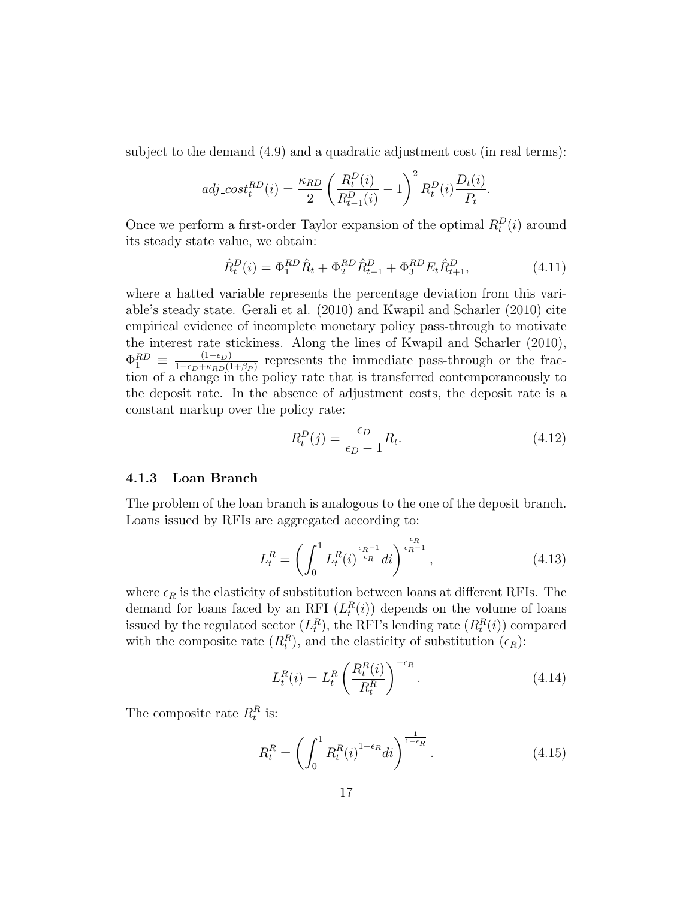subject to the demand (4.9) and a quadratic adjustment cost (in real terms):

$$
adj\_{cost}^{RD}(i) = \frac{\kappa_{RD}}{2} \left( \frac{R_t^D(i)}{R_{t-1}^D(i)} - 1 \right)^2 R_t^D(i) \frac{D_t(i)}{P_t}.
$$

Once we perform a first-order Taylor expansion of the optimal  $R_t^D(i)$  around its steady state value, we obtain:

$$
\hat{R}_t^D(i) = \Phi_1^{RD} \hat{R}_t + \Phi_2^{RD} \hat{R}_{t-1}^D + \Phi_3^{RD} E_t \hat{R}_{t+1}^D,
$$
\n(4.11)

where a hatted variable represents the percentage deviation from this variable's steady state. Gerali et al. (2010) and Kwapil and Scharler (2010) cite empirical evidence of incomplete monetary policy pass-through to motivate the interest rate stickiness. Along the lines of Kwapil and Scharler (2010),  $\Phi_1^{RD} \equiv \frac{(1-\epsilon_D)}{1-\epsilon_D+\kappa_{BD}(1)}$  $\frac{(1-\epsilon_D)}{1-\epsilon_D+\kappa_{RD}(1+\beta_P)}$  represents the immediate pass-through or the fraction of a change in the policy rate that is transferred contemporaneously to the deposit rate. In the absence of adjustment costs, the deposit rate is a constant markup over the policy rate:

$$
R_t^D(j) = \frac{\epsilon_D}{\epsilon_D - 1} R_t.
$$
\n(4.12)

#### 4.1.3 Loan Branch

The problem of the loan branch is analogous to the one of the deposit branch. Loans issued by RFIs are aggregated according to:

$$
L_t^R = \left(\int_0^1 L_t^R(i)^{\frac{\epsilon_R - 1}{\epsilon_R}} di\right)^{\frac{\epsilon_R}{\epsilon_R - 1}},\tag{4.13}
$$

where  $\epsilon_R$  is the elasticity of substitution between loans at different RFIs. The demand for loans faced by an RFI  $(L_t^R(i))$  depends on the volume of loans issued by the regulated sector  $(L_t^R)$ , the RFI's lending rate  $(R_t^R(i))$  compared with the composite rate  $(R_t^R)$ , and the elasticity of substitution  $(\epsilon_R)$ :

$$
L_t^R(i) = L_t^R \left(\frac{R_t^R(i)}{R_t^R}\right)^{-\epsilon_R}.\tag{4.14}
$$

The composite rate  $R_t^R$  is:

$$
R_t^R = \left(\int_0^1 R_t^R(i)^{1-\epsilon_R} di\right)^{\frac{1}{1-\epsilon_R}}.\tag{4.15}
$$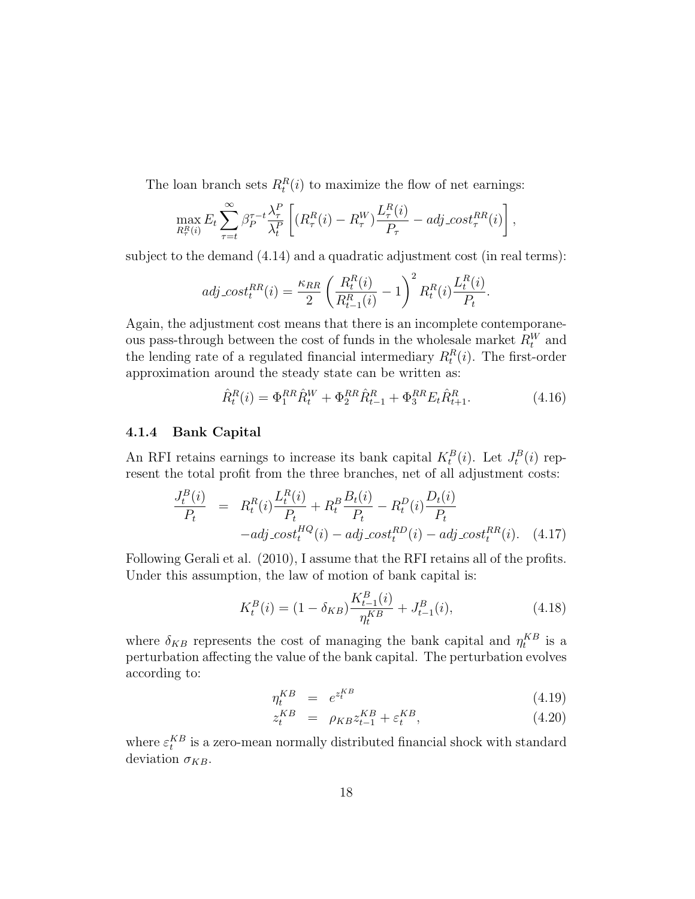The loan branch sets  $R_t^R(i)$  to maximize the flow of net earnings:

$$
\max_{R_{\tau}^{R}(i)} E_t \sum_{\tau=t}^{\infty} \beta_P^{\tau-t} \frac{\lambda_{\tau}^{P}}{\lambda_t^{P}} \left[ (R_{\tau}^{R}(i) - R_{\tau}^{W}) \frac{L_{\tau}^{R}(i)}{P_{\tau}} - adj\_{cost}^{R}(i) \right],
$$

subject to the demand (4.14) and a quadratic adjustment cost (in real terms):

$$
adj. cost^{RR}_t(i) = \frac{\kappa_{RR}}{2} \left( \frac{R_t^R(i)}{R_{t-1}^R(i)} - 1 \right)^2 R_t^R(i) \frac{L_t^R(i)}{P_t}.
$$

Again, the adjustment cost means that there is an incomplete contemporaneous pass-through between the cost of funds in the wholesale market  $R_t^W$  and the lending rate of a regulated financial intermediary  $R_t^R(i)$ . The first-order approximation around the steady state can be written as:

$$
\hat{R}_t^R(i) = \Phi_1^{RR}\hat{R}_t^W + \Phi_2^{RR}\hat{R}_{t-1}^R + \Phi_3^{RR}E_t\hat{R}_{t+1}^R.
$$
\n(4.16)

#### 4.1.4 Bank Capital

An RFI retains earnings to increase its bank capital  $K_t^B(i)$ . Let  $J_t^B(i)$  represent the total profit from the three branches, net of all adjustment costs:

$$
\frac{J_t^B(i)}{P_t} = R_t^R(i) \frac{L_t^R(i)}{P_t} + R_t^B \frac{B_t(i)}{P_t} - R_t^D(i) \frac{D_t(i)}{P_t} \n-adj\_{cost}_t^H(i) - adj\_{cost}_t^R(i) - adj\_{cost}_t^R(i). \quad (4.17)
$$

Following Gerali et al. (2010), I assume that the RFI retains all of the profits. Under this assumption, the law of motion of bank capital is:

$$
K_t^B(i) = (1 - \delta_{KB}) \frac{K_{t-1}^B(i)}{\eta_t^{KB}} + J_{t-1}^B(i),
$$
\n(4.18)

where  $\delta_{KB}$  represents the cost of managing the bank capital and  $\eta_t^{KB}$  is a perturbation affecting the value of the bank capital. The perturbation evolves according to:

$$
\eta_t^{KB} = e^{z_t^{KB}} \tag{4.19}
$$

$$
z_t^{KB} = \rho_{KB} z_{t-1}^{KB} + \varepsilon_t^{KB}, \qquad (4.20)
$$

where  $\varepsilon_t^{KB}$  is a zero-mean normally distributed financial shock with standard deviation  $\sigma_{KB}$ .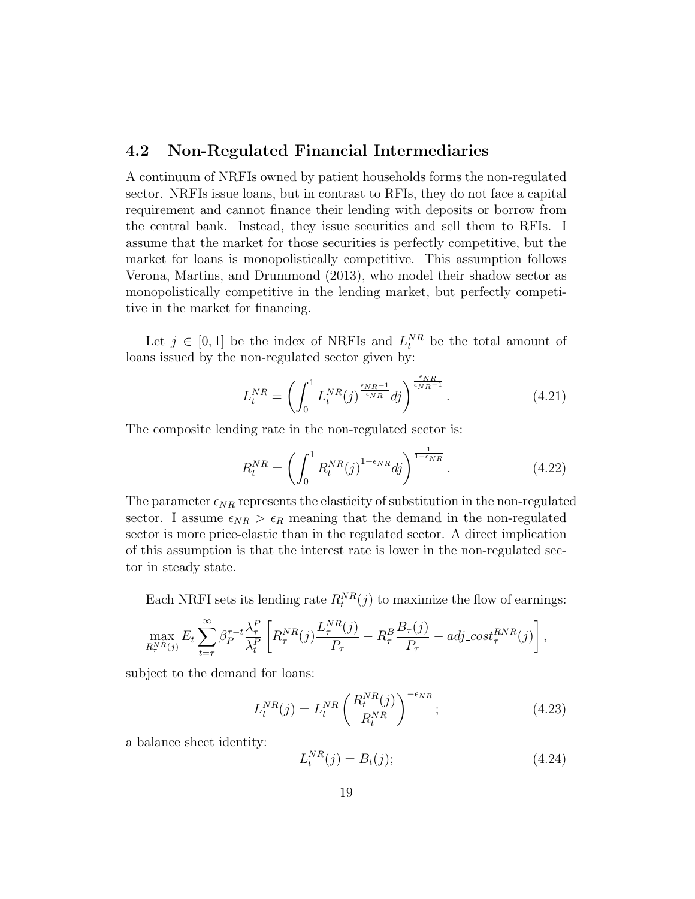#### 4.2 Non-Regulated Financial Intermediaries

A continuum of NRFIs owned by patient households forms the non-regulated sector. NRFIs issue loans, but in contrast to RFIs, they do not face a capital requirement and cannot finance their lending with deposits or borrow from the central bank. Instead, they issue securities and sell them to RFIs. I assume that the market for those securities is perfectly competitive, but the market for loans is monopolistically competitive. This assumption follows Verona, Martins, and Drummond (2013), who model their shadow sector as monopolistically competitive in the lending market, but perfectly competitive in the market for financing.

Let  $j \in [0,1]$  be the index of NRFIs and  $L_t^{NR}$  be the total amount of loans issued by the non-regulated sector given by:

$$
L_t^{NR} = \left(\int_0^1 L_t^{NR}(j)^{\frac{\epsilon_{NR}-1}{\epsilon_{NR}}} dj\right)^{\frac{\epsilon_{NR}}{\epsilon_{NR}-1}}.
$$
\n(4.21)

The composite lending rate in the non-regulated sector is:

$$
R_t^{NR} = \left(\int_0^1 R_t^{NR}(j)^{1 - \epsilon_{NR}} dj\right)^{\frac{1}{1 - \epsilon_{NR}}}. \tag{4.22}
$$

The parameter  $\epsilon_{NR}$  represents the elasticity of substitution in the non-regulated sector. I assume  $\epsilon_{NR} > \epsilon_R$  meaning that the demand in the non-regulated sector is more price-elastic than in the regulated sector. A direct implication of this assumption is that the interest rate is lower in the non-regulated sector in steady state.

Each NRFI sets its lending rate  $R_t^{NR}(j)$  to maximize the flow of earnings:

$$
\max_{R_{\tau}^{NR}(j)} E_t \sum_{t=\tau}^{\infty} \beta_P^{\tau-t} \frac{\lambda_{\tau}^P}{\lambda_t^P} \left[ R_{\tau}^{NR}(j) \frac{L_{\tau}^{NR}(j)}{P_{\tau}} - R_{\tau}^B \frac{B_{\tau}(j)}{P_{\tau}} - adj\_{cost} t_{\tau}^{RNR}(j) \right],
$$

subject to the demand for loans:

$$
L_t^{NR}(j) = L_t^{NR}\left(\frac{R_t^{NR}(j)}{R_t^{NR}}\right)^{-\epsilon_{NR}};
$$
\n(4.23)

a balance sheet identity:

$$
L_t^{NR}(j) = B_t(j); \t\t(4.24)
$$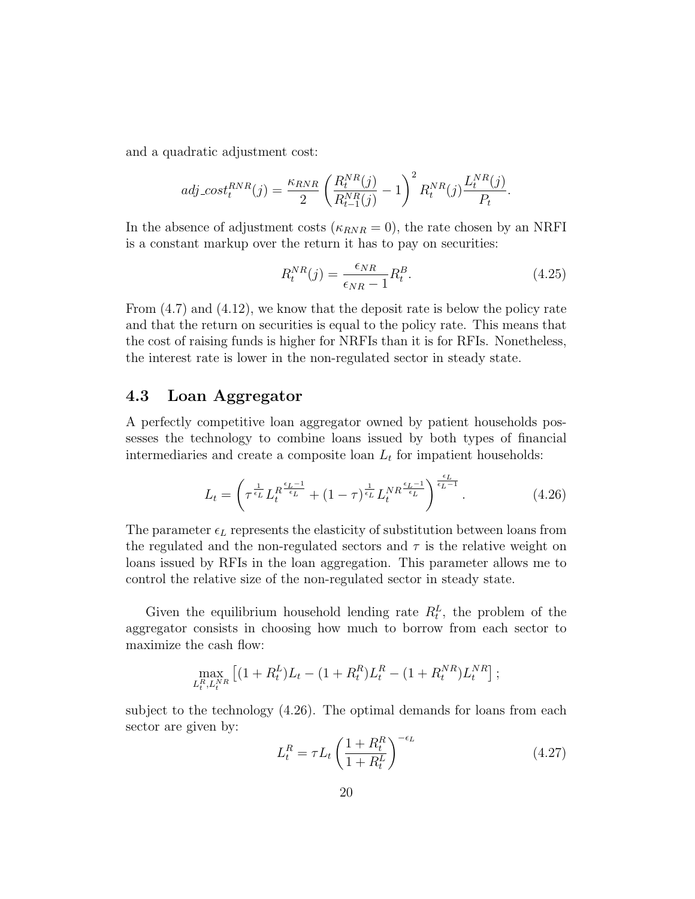and a quadratic adjustment cost:

$$
adj\_{cost}^{RNR}(j) = \frac{\kappa_{RNR}}{2} \left( \frac{R_t^{NR}(j)}{R_{t-1}^{NR}(j)} - 1 \right)^2 R_t^{NR}(j) \frac{L_t^{NR}(j)}{P_t}.
$$

In the absence of adjustment costs ( $\kappa_{RNR} = 0$ ), the rate chosen by an NRFI is a constant markup over the return it has to pay on securities:

$$
R_t^{NR}(j) = \frac{\epsilon_{NR}}{\epsilon_{NR} - 1} R_t^B.
$$
\n(4.25)

From (4.7) and (4.12), we know that the deposit rate is below the policy rate and that the return on securities is equal to the policy rate. This means that the cost of raising funds is higher for NRFIs than it is for RFIs. Nonetheless, the interest rate is lower in the non-regulated sector in steady state.

#### 4.3 Loan Aggregator

A perfectly competitive loan aggregator owned by patient households possesses the technology to combine loans issued by both types of financial intermediaries and create a composite loan  $L_t$  for impatient households:

$$
L_t = \left(\tau^{\frac{1}{\epsilon_L}} L_t^{R^{\frac{\epsilon_L - 1}{\epsilon_L}}} + (1 - \tau)^{\frac{1}{\epsilon_L}} L_t^{NR^{\frac{\epsilon_L - 1}{\epsilon_L}}}\right)^{\frac{\epsilon_L}{\epsilon_L - 1}}.
$$
 (4.26)

The parameter  $\epsilon_L$  represents the elasticity of substitution between loans from the regulated and the non-regulated sectors and  $\tau$  is the relative weight on loans issued by RFIs in the loan aggregation. This parameter allows me to control the relative size of the non-regulated sector in steady state.

Given the equilibrium household lending rate  $R_t^L$ , the problem of the aggregator consists in choosing how much to borrow from each sector to maximize the cash flow:

$$
\max_{L_t^R, L_t^{NR}} \left[ (1 + R_t^L) L_t - (1 + R_t^R) L_t^R - (1 + R_t^{NR}) L_t^{NR} \right];
$$

subject to the technology (4.26). The optimal demands for loans from each sector are given by:

$$
L_t^R = \tau L_t \left(\frac{1 + R_t^R}{1 + R_t^L}\right)^{-\epsilon_L} \tag{4.27}
$$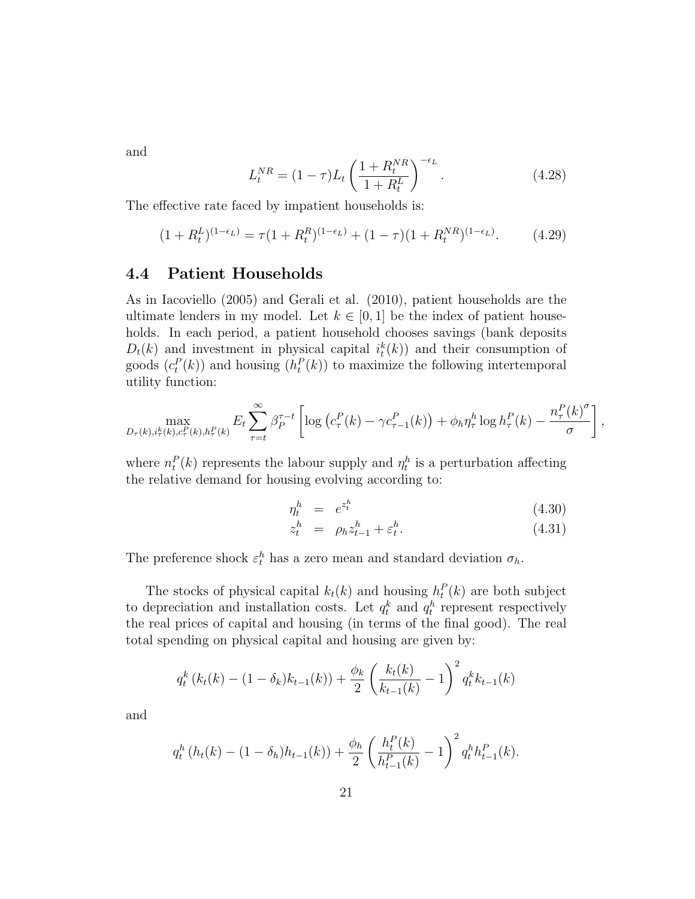and

$$
L_t^{NR} = (1 - \tau)L_t \left(\frac{1 + R_t^{NR}}{1 + R_t^L}\right)^{-\epsilon_L}.
$$
\n(4.28)

The effective rate faced by impatient households is:

$$
(1 + R_t^{L})^{(1 - \epsilon_L)} = \tau (1 + R_t^{R})^{(1 - \epsilon_L)} + (1 - \tau)(1 + R_t^{NR})^{(1 - \epsilon_L)}.
$$
 (4.29)

#### 4.4 Patient Households

As in Iacoviello (2005) and Gerali et al. (2010), patient households are the ultimate lenders in my model. Let  $k \in [0, 1]$  be the index of patient households. In each period, a patient household chooses savings (bank deposits  $D_t(k)$  and investment in physical capital  $i_t^k(k)$  and their consumption of goods  $(c_t^P(k))$  and housing  $(h_t^P(k))$  to maximize the following intertemporal utility function:

$$
\max_{D_{\tau}(k),i_{\tau}^{k}(k),c_{\tau}^{P}(k),h_{\tau}^{P}(k)} E_{t} \sum_{\tau=t}^{\infty} \beta_{P}^{\tau-t} \left[ \log \left( c_{\tau}^{P}(k) - \gamma c_{\tau-1}^{P}(k) \right) + \phi_{h} \eta_{\tau}^{h} \log h_{\tau}^{P}(k) - \frac{n_{\tau}^{P}(k)^{\sigma}}{\sigma} \right],
$$

where  $n_t^P(k)$  represents the labour supply and  $\eta_t^h$  is a perturbation affecting the relative demand for housing evolving according to:

$$
\eta_t^h = e^{z_t^h} \tag{4.30}
$$

$$
z_t^h = \rho_h z_{t-1}^h + \varepsilon_t^h. \tag{4.31}
$$

The preference shock  $\varepsilon_t^h$  has a zero mean and standard deviation  $\sigma_h$ .

The stocks of physical capital  $k_t(k)$  and housing  $h_t^P(k)$  are both subject to depreciation and installation costs. Let  $q_t^k$  and  $q_t^h$  represent respectively the real prices of capital and housing (in terms of the final good). The real total spending on physical capital and housing are given by:

$$
q_t^k(k_t(k) - (1 - \delta_k)k_{t-1}(k)) + \frac{\phi_k}{2} \left(\frac{k_t(k)}{k_{t-1}(k)} - 1\right)^2 q_t^k k_{t-1}(k)
$$

and

$$
q_t^h(h_t(k) - (1 - \delta_h)h_{t-1}(k)) + \frac{\phi_h}{2} \left(\frac{h_t^P(k)}{h_{t-1}^P(k)} - 1\right)^2 q_t^h h_{t-1}^P(k).
$$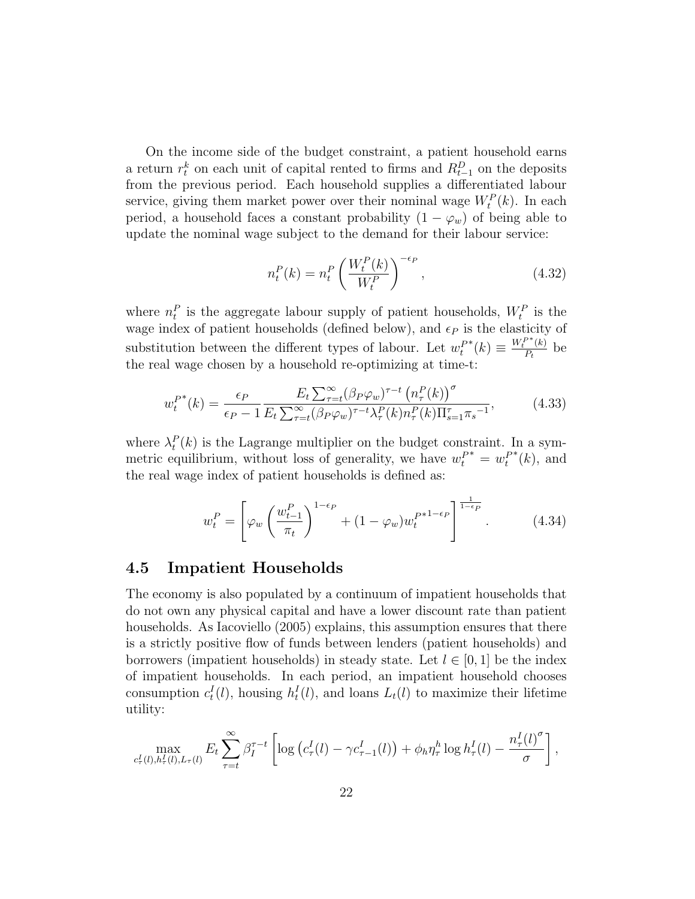On the income side of the budget constraint, a patient household earns a return  $r_t^k$  on each unit of capital rented to firms and  $R_{t-1}^D$  on the deposits from the previous period. Each household supplies a differentiated labour service, giving them market power over their nominal wage  $W_t^P(k)$ . In each period, a household faces a constant probability  $(1 - \varphi_w)$  of being able to update the nominal wage subject to the demand for their labour service:

$$
n_t^P(k) = n_t^P \left(\frac{W_t^P(k)}{W_t^P}\right)^{-\epsilon_P},
$$
\n(4.32)

where  $n_t^P$  is the aggregate labour supply of patient households,  $W_t^P$  is the wage index of patient households (defined below), and  $\epsilon_P$  is the elasticity of substitution between the different types of labour. Let  $w_t^F$  $^*(k) \equiv \frac{W_t^{P*}(k)}{P_k}$  $\frac{K}{P_t}$  be the real wage chosen by a household re-optimizing at time-t:

$$
w_t^{P^*}(k) = \frac{\epsilon_P}{\epsilon_P - 1} \frac{E_t \sum_{\tau=t}^{\infty} (\beta_P \varphi_w)^{\tau-t} \left( n_\tau^P(k) \right)^{\sigma}}{E_t \sum_{\tau=t}^{\infty} (\beta_P \varphi_w)^{\tau-t} \lambda_\tau^P(k) n_\tau^P(k) \Pi_{s=1}^{\tau} \pi_s^{-1}},\tag{4.33}
$$

where  $\lambda_t^P(k)$  is the Lagrange multiplier on the budget constraint. In a symmetric equilibrium, without loss of generality, we have  $w_t^{P^*} = w_t^P$  $^*(k)$ , and the real wage index of patient households is defined as:

$$
w_t^P = \left[ \varphi_w \left( \frac{w_{t-1}^P}{\pi_t} \right)^{1-\epsilon_P} + (1-\varphi_w) w_t^{P^{*1-\epsilon_P}} \right]^{1-\epsilon_P}.
$$
 (4.34)

#### 4.5 Impatient Households

The economy is also populated by a continuum of impatient households that do not own any physical capital and have a lower discount rate than patient households. As Iacoviello (2005) explains, this assumption ensures that there is a strictly positive flow of funds between lenders (patient households) and borrowers (impatient households) in steady state. Let  $l \in [0, 1]$  be the index of impatient households. In each period, an impatient household chooses consumption  $c_t^I(l)$ , housing  $h_t^I(l)$ , and loans  $L_t(l)$  to maximize their lifetime utility:

$$
\max_{c_{\tau}^I(l),h_{\tau}^I(l),L_{\tau}(l)} E_t \sum_{\tau=t}^{\infty} \beta_I^{\tau-t} \left[ \log \left( c_{\tau}^I(l) - \gamma c_{\tau-1}^I(l) \right) + \phi_h \eta_{\tau}^h \log h_{\tau}^I(l) - \frac{n_{\tau}^I(l)^{\sigma}}{\sigma} \right],
$$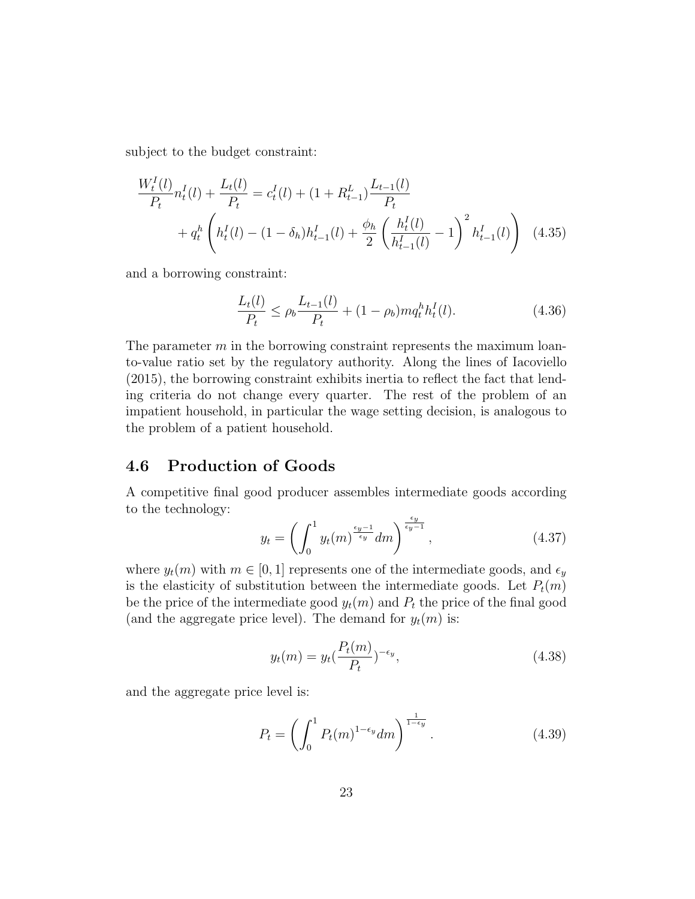subject to the budget constraint:

$$
\frac{W_t^I(l)}{P_t} n_t^I(l) + \frac{L_t(l)}{P_t} = c_t^I(l) + (1 + R_{t-1}^L) \frac{L_{t-1}(l)}{P_t} + q_t^h \left( h_t^I(l) - (1 - \delta_h) h_{t-1}^I(l) + \frac{\phi_h}{2} \left( \frac{h_t^I(l)}{h_{t-1}^I(l)} - 1 \right)^2 h_{t-1}^I(l) \right) \tag{4.35}
$$

and a borrowing constraint:

$$
\frac{L_t(l)}{P_t} \le \rho_b \frac{L_{t-1}(l)}{P_t} + (1 - \rho_b) m q_t^h h_t^I(l). \tag{4.36}
$$

The parameter  $m$  in the borrowing constraint represents the maximum loanto-value ratio set by the regulatory authority. Along the lines of Iacoviello (2015), the borrowing constraint exhibits inertia to reflect the fact that lending criteria do not change every quarter. The rest of the problem of an impatient household, in particular the wage setting decision, is analogous to the problem of a patient household.

### 4.6 Production of Goods

A competitive final good producer assembles intermediate goods according to the technology:

$$
y_t = \left(\int_0^1 y_t(m)^{\frac{\epsilon_y - 1}{\epsilon_y}} dm\right)^{\frac{\epsilon_y}{\epsilon_y - 1}},\tag{4.37}
$$

where  $y_t(m)$  with  $m \in [0, 1]$  represents one of the intermediate goods, and  $\epsilon_y$ is the elasticity of substitution between the intermediate goods. Let  $P_t(m)$ be the price of the intermediate good  $y_t(m)$  and  $P_t$  the price of the final good (and the aggregate price level). The demand for  $y_t(m)$  is:

$$
y_t(m) = y_t(\frac{P_t(m)}{P_t})^{-\epsilon_y},\tag{4.38}
$$

and the aggregate price level is:

$$
P_t = \left(\int_0^1 P_t(m)^{1-\epsilon_y} dm\right)^{\frac{1}{1-\epsilon_y}}.\tag{4.39}
$$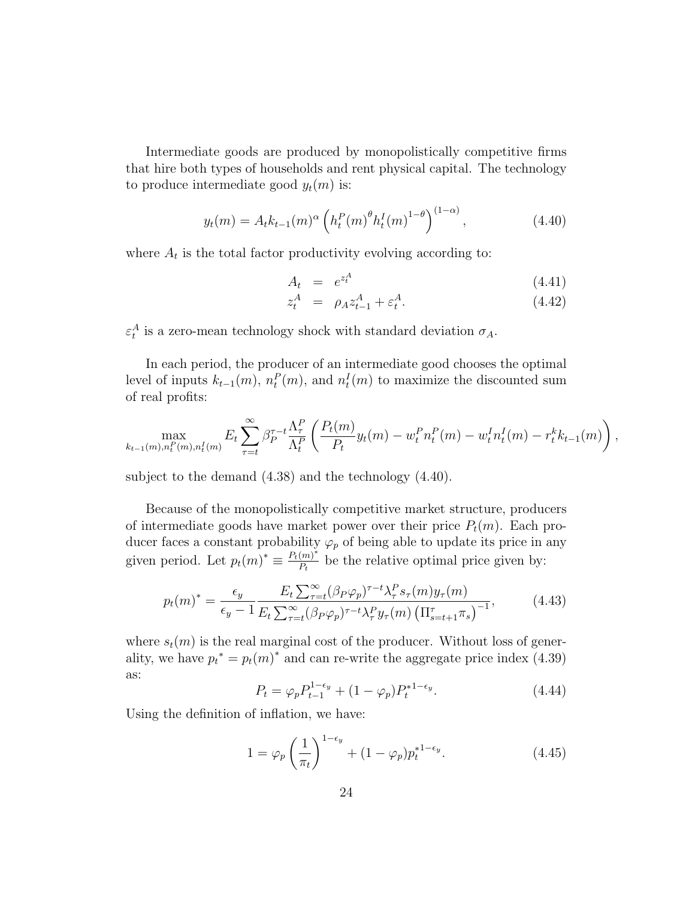Intermediate goods are produced by monopolistically competitive firms that hire both types of households and rent physical capital. The technology to produce intermediate good  $y_t(m)$  is:

$$
y_t(m) = A_t k_{t-1}(m)^\alpha \left( h_t^P(m)^\theta h_t^I(m)^{1-\theta} \right)^{(1-\alpha)}, \tag{4.40}
$$

where  $A_t$  is the total factor productivity evolving according to:

$$
A_t = e^{z_t^A} \tag{4.41}
$$

$$
z_t^A = \rho_A z_{t-1}^A + \varepsilon_t^A. \tag{4.42}
$$

 $\varepsilon_t^A$  is a zero-mean technology shock with standard deviation  $\sigma_A$ .

In each period, the producer of an intermediate good chooses the optimal level of inputs  $k_{t-1}(m)$ ,  $n_t^P(m)$ , and  $n_t^I(m)$  to maximize the discounted sum of real profits:

$$
\max_{k_{t-1}(m),n_t^P(m),n_t^I(m)} E_t \sum_{\tau=t}^{\infty} \beta_P^{\tau-t} \frac{\Lambda_{\tau}^P}{\Lambda_t^P} \left( \frac{P_t(m)}{P_t} y_t(m) - w_t^P n_t^P(m) - w_t^I n_t^I(m) - r_t^k k_{t-1}(m) \right),
$$

subject to the demand (4.38) and the technology (4.40).

Because of the monopolistically competitive market structure, producers of intermediate goods have market power over their price  $P_t(m)$ . Each producer faces a constant probability  $\varphi_p$  of being able to update its price in any given period. Let  $p_t(m)^* \equiv \frac{P_t(m)^*}{P_t}$  $\frac{m}{P_t}$  be the relative optimal price given by:

$$
p_t(m)^* = \frac{\epsilon_y}{\epsilon_y - 1} \frac{E_t \sum_{\tau=t}^{\infty} (\beta_P \varphi_p)^{\tau - t} \lambda_\tau^P s_\tau(m) y_\tau(m)}{E_t \sum_{\tau=t}^{\infty} (\beta_P \varphi_p)^{\tau - t} \lambda_\tau^P y_\tau(m) \left(\Pi_{s=t+1}^{\tau} \pi_s\right)^{-1}},\tag{4.43}
$$

where  $s_t(m)$  is the real marginal cost of the producer. Without loss of generality, we have  $p_t^* = p_t(m)^*$  and can re-write the aggregate price index (4.39) as:

$$
P_t = \varphi_p P_{t-1}^{1-\epsilon_y} + (1-\varphi_p) P_t^{*1-\epsilon_y}.
$$
\n(4.44)

Using the definition of inflation, we have:

$$
1 = \varphi_p \left(\frac{1}{\pi_t}\right)^{1-\epsilon_y} + (1-\varphi_p)p_t^{*1-\epsilon_y}.\tag{4.45}
$$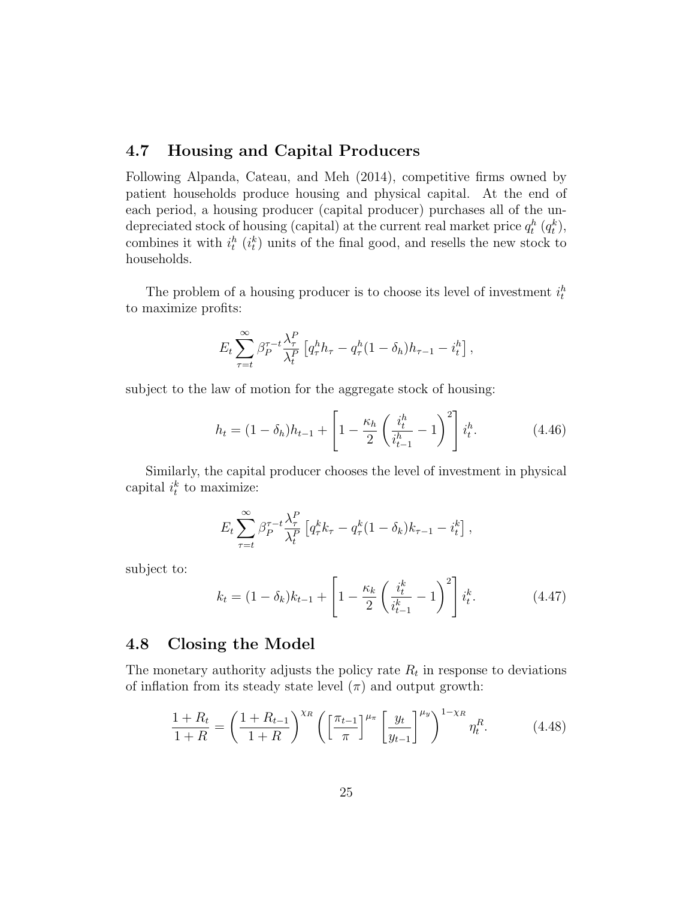#### 4.7 Housing and Capital Producers

Following Alpanda, Cateau, and Meh (2014), competitive firms owned by patient households produce housing and physical capital. At the end of each period, a housing producer (capital producer) purchases all of the undepreciated stock of housing (capital) at the current real market price  $q_t^h$   $(q_t^k)$ , combines it with  $i_t^h$  ( $i_t^k$ ) units of the final good, and resells the new stock to households.

The problem of a housing producer is to choose its level of investment  $i_t^h$ to maximize profits:

$$
E_t \sum_{\tau=t}^{\infty} \beta_P^{\tau-t} \frac{\lambda_\tau^P}{\lambda_t^P} \left[ q_\tau^h h_\tau - q_\tau^h (1 - \delta_h) h_{\tau-1} - i_t^h \right],
$$

subject to the law of motion for the aggregate stock of housing:

$$
h_t = (1 - \delta_h)h_{t-1} + \left[1 - \frac{\kappa_h}{2} \left(\frac{i_t^h}{i_{t-1}^h} - 1\right)^2\right]i_t^h.
$$
 (4.46)

Similarly, the capital producer chooses the level of investment in physical capital  $i_t^k$  to maximize:

$$
E_t \sum_{\tau=t}^{\infty} \beta_P^{\tau-t} \frac{\lambda_{\tau}^P}{\lambda_t^P} \left[ q_{\tau}^k k_{\tau} - q_{\tau}^k (1 - \delta_k) k_{\tau-1} - i_t^k \right],
$$

subject to:

$$
k_t = (1 - \delta_k)k_{t-1} + \left[1 - \frac{\kappa_k}{2} \left(\frac{i_t^k}{i_{t-1}^k} - 1\right)^2\right]i_t^k.
$$
 (4.47)

#### 4.8 Closing the Model

The monetary authority adjusts the policy rate  $R_t$  in response to deviations of inflation from its steady state level  $(\pi)$  and output growth:

$$
\frac{1+R_t}{1+R} = \left(\frac{1+R_{t-1}}{1+R}\right)^{\chi_R} \left(\left[\frac{\pi_{t-1}}{\pi}\right]^{\mu_{\pi}} \left[\frac{y_t}{y_{t-1}}\right]^{\mu_y}\right)^{1-\chi_R} \eta_t^R. \tag{4.48}
$$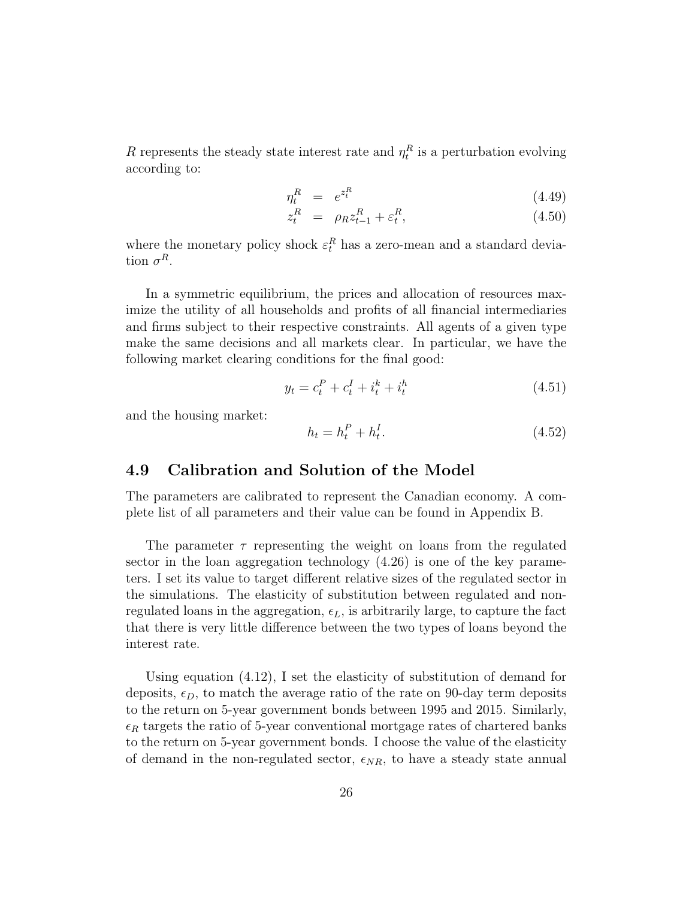R represents the steady state interest rate and  $\eta_t^R$  is a perturbation evolving according to:

$$
\eta_t^R = e^{z_t^R} \tag{4.49}
$$

$$
z_t^R = \rho_R z_{t-1}^R + \varepsilon_t^R, \tag{4.50}
$$

where the monetary policy shock  $\varepsilon_t^R$  has a zero-mean and a standard deviation  $\sigma^R$ .

In a symmetric equilibrium, the prices and allocation of resources maximize the utility of all households and profits of all financial intermediaries and firms subject to their respective constraints. All agents of a given type make the same decisions and all markets clear. In particular, we have the following market clearing conditions for the final good:

$$
y_t = c_t^P + c_t^I + i_t^k + i_t^h \tag{4.51}
$$

and the housing market:

$$
h_t = h_t^P + h_t^I. \tag{4.52}
$$

#### 4.9 Calibration and Solution of the Model

The parameters are calibrated to represent the Canadian economy. A complete list of all parameters and their value can be found in Appendix B.

The parameter  $\tau$  representing the weight on loans from the regulated sector in the loan aggregation technology (4.26) is one of the key parameters. I set its value to target different relative sizes of the regulated sector in the simulations. The elasticity of substitution between regulated and nonregulated loans in the aggregation,  $\epsilon_L$ , is arbitrarily large, to capture the fact that there is very little difference between the two types of loans beyond the interest rate.

Using equation (4.12), I set the elasticity of substitution of demand for deposits,  $\epsilon_D$ , to match the average ratio of the rate on 90-day term deposits to the return on 5-year government bonds between 1995 and 2015. Similarly,  $\epsilon_R$  targets the ratio of 5-year conventional mortgage rates of chartered banks to the return on 5-year government bonds. I choose the value of the elasticity of demand in the non-regulated sector,  $\epsilon_{NR}$ , to have a steady state annual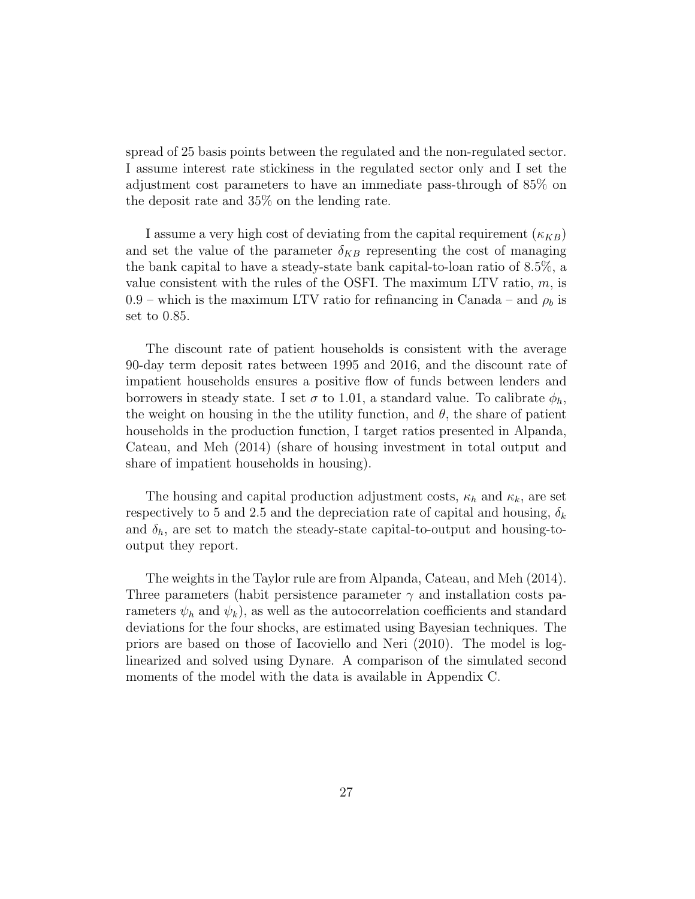spread of 25 basis points between the regulated and the non-regulated sector. I assume interest rate stickiness in the regulated sector only and I set the adjustment cost parameters to have an immediate pass-through of 85% on the deposit rate and 35% on the lending rate.

I assume a very high cost of deviating from the capital requirement  $(\kappa_{KB})$ and set the value of the parameter  $\delta_{KB}$  representing the cost of managing the bank capital to have a steady-state bank capital-to-loan ratio of 8.5%, a value consistent with the rules of the OSFI. The maximum LTV ratio,  $m$ , is 0.9 – which is the maximum LTV ratio for refinancing in Canada – and  $\rho_b$  is set to 0.85.

The discount rate of patient households is consistent with the average 90-day term deposit rates between 1995 and 2016, and the discount rate of impatient households ensures a positive flow of funds between lenders and borrowers in steady state. I set  $\sigma$  to 1.01, a standard value. To calibrate  $\phi_h$ , the weight on housing in the the utility function, and  $\theta$ , the share of patient households in the production function, I target ratios presented in Alpanda, Cateau, and Meh (2014) (share of housing investment in total output and share of impatient households in housing).

The housing and capital production adjustment costs,  $\kappa_h$  and  $\kappa_k$ , are set respectively to 5 and 2.5 and the depreciation rate of capital and housing,  $\delta_k$ and  $\delta_h$ , are set to match the steady-state capital-to-output and housing-tooutput they report.

The weights in the Taylor rule are from Alpanda, Cateau, and Meh (2014). Three parameters (habit persistence parameter  $\gamma$  and installation costs parameters  $\psi_h$  and  $\psi_k$ ), as well as the autocorrelation coefficients and standard deviations for the four shocks, are estimated using Bayesian techniques. The priors are based on those of Iacoviello and Neri (2010). The model is loglinearized and solved using Dynare. A comparison of the simulated second moments of the model with the data is available in Appendix C.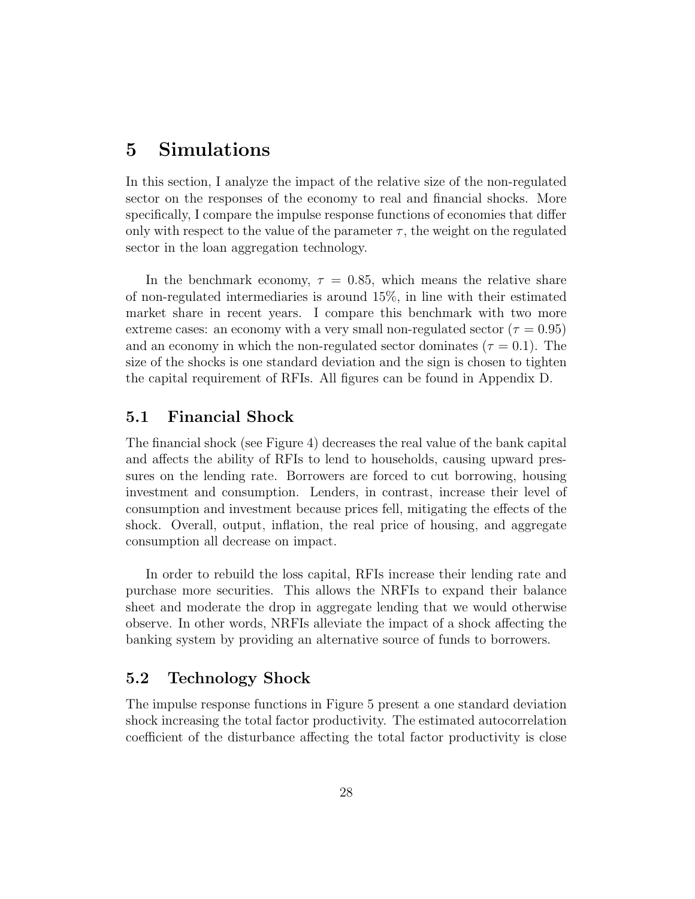# 5 Simulations

In this section, I analyze the impact of the relative size of the non-regulated sector on the responses of the economy to real and financial shocks. More specifically, I compare the impulse response functions of economies that differ only with respect to the value of the parameter  $\tau$ , the weight on the regulated sector in the loan aggregation technology.

In the benchmark economy,  $\tau = 0.85$ , which means the relative share of non-regulated intermediaries is around 15%, in line with their estimated market share in recent years. I compare this benchmark with two more extreme cases: an economy with a very small non-regulated sector ( $\tau = 0.95$ ) and an economy in which the non-regulated sector dominates ( $\tau = 0.1$ ). The size of the shocks is one standard deviation and the sign is chosen to tighten the capital requirement of RFIs. All figures can be found in Appendix D.

#### 5.1 Financial Shock

The financial shock (see Figure 4) decreases the real value of the bank capital and affects the ability of RFIs to lend to households, causing upward pressures on the lending rate. Borrowers are forced to cut borrowing, housing investment and consumption. Lenders, in contrast, increase their level of consumption and investment because prices fell, mitigating the effects of the shock. Overall, output, inflation, the real price of housing, and aggregate consumption all decrease on impact.

In order to rebuild the loss capital, RFIs increase their lending rate and purchase more securities. This allows the NRFIs to expand their balance sheet and moderate the drop in aggregate lending that we would otherwise observe. In other words, NRFIs alleviate the impact of a shock affecting the banking system by providing an alternative source of funds to borrowers.

#### 5.2 Technology Shock

The impulse response functions in Figure 5 present a one standard deviation shock increasing the total factor productivity. The estimated autocorrelation coefficient of the disturbance affecting the total factor productivity is close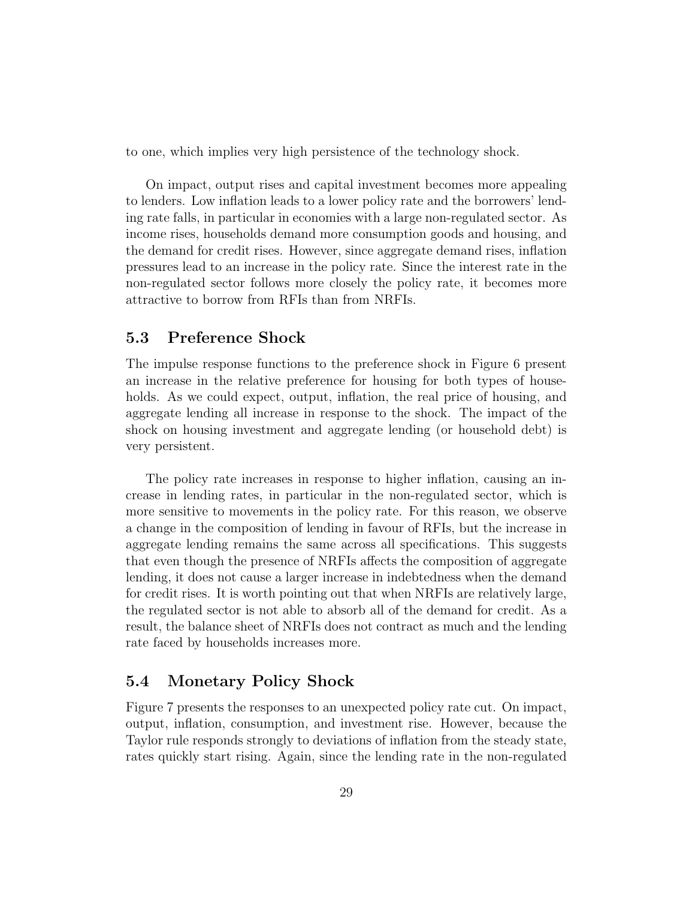to one, which implies very high persistence of the technology shock.

On impact, output rises and capital investment becomes more appealing to lenders. Low inflation leads to a lower policy rate and the borrowers' lending rate falls, in particular in economies with a large non-regulated sector. As income rises, households demand more consumption goods and housing, and the demand for credit rises. However, since aggregate demand rises, inflation pressures lead to an increase in the policy rate. Since the interest rate in the non-regulated sector follows more closely the policy rate, it becomes more attractive to borrow from RFIs than from NRFIs.

#### 5.3 Preference Shock

The impulse response functions to the preference shock in Figure 6 present an increase in the relative preference for housing for both types of households. As we could expect, output, inflation, the real price of housing, and aggregate lending all increase in response to the shock. The impact of the shock on housing investment and aggregate lending (or household debt) is very persistent.

The policy rate increases in response to higher inflation, causing an increase in lending rates, in particular in the non-regulated sector, which is more sensitive to movements in the policy rate. For this reason, we observe a change in the composition of lending in favour of RFIs, but the increase in aggregate lending remains the same across all specifications. This suggests that even though the presence of NRFIs affects the composition of aggregate lending, it does not cause a larger increase in indebtedness when the demand for credit rises. It is worth pointing out that when NRFIs are relatively large, the regulated sector is not able to absorb all of the demand for credit. As a result, the balance sheet of NRFIs does not contract as much and the lending rate faced by households increases more.

#### 5.4 Monetary Policy Shock

Figure 7 presents the responses to an unexpected policy rate cut. On impact, output, inflation, consumption, and investment rise. However, because the Taylor rule responds strongly to deviations of inflation from the steady state, rates quickly start rising. Again, since the lending rate in the non-regulated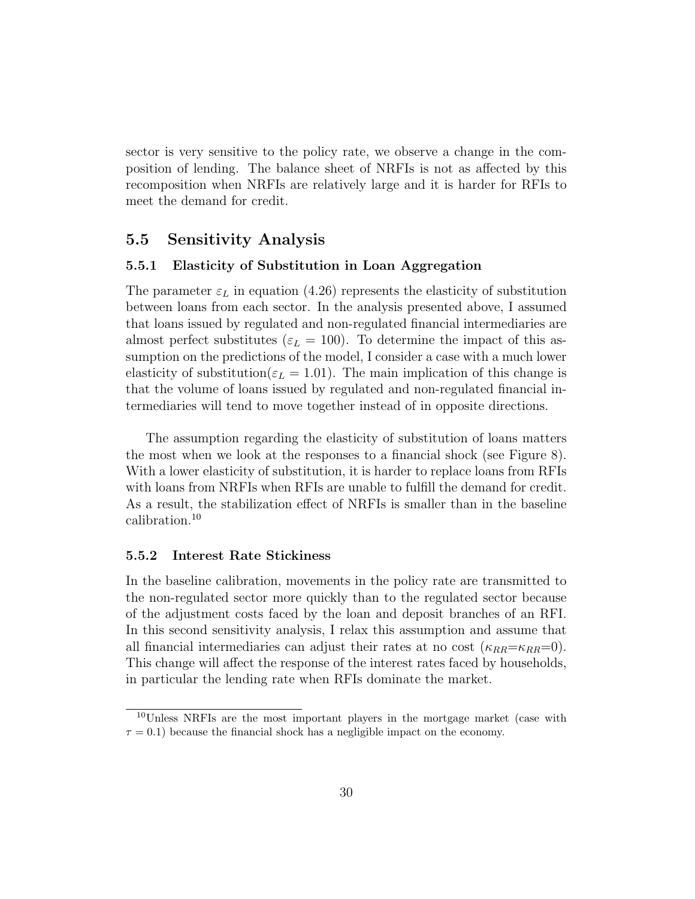sector is very sensitive to the policy rate, we observe a change in the composition of lending. The balance sheet of NRFIs is not as affected by this recomposition when NRFIs are relatively large and it is harder for RFIs to meet the demand for credit.

### 5.5 Sensitivity Analysis

#### 5.5.1 Elasticity of Substitution in Loan Aggregation

The parameter  $\varepsilon_L$  in equation (4.26) represents the elasticity of substitution between loans from each sector. In the analysis presented above, I assumed that loans issued by regulated and non-regulated financial intermediaries are almost perfect substitutes ( $\varepsilon_L = 100$ ). To determine the impact of this assumption on the predictions of the model, I consider a case with a much lower elasticity of substitution( $\varepsilon_L = 1.01$ ). The main implication of this change is that the volume of loans issued by regulated and non-regulated financial intermediaries will tend to move together instead of in opposite directions.

The assumption regarding the elasticity of substitution of loans matters the most when we look at the responses to a financial shock (see Figure 8). With a lower elasticity of substitution, it is harder to replace loans from RFIs with loans from NRFIs when RFIs are unable to fulfill the demand for credit. As a result, the stabilization effect of NRFIs is smaller than in the baseline calibration.<sup>10</sup>

#### 5.5.2 Interest Rate Stickiness

In the baseline calibration, movements in the policy rate are transmitted to the non-regulated sector more quickly than to the regulated sector because of the adjustment costs faced by the loan and deposit branches of an RFI. In this second sensitivity analysis, I relax this assumption and assume that all financial intermediaries can adjust their rates at no cost  $(\kappa_{RR}=\kappa_{RR}=0)$ . This change will affect the response of the interest rates faced by households, in particular the lending rate when RFIs dominate the market.

<sup>10</sup>Unless NRFIs are the most important players in the mortgage market (case with  $\tau = 0.1$ ) because the financial shock has a negligible impact on the economy.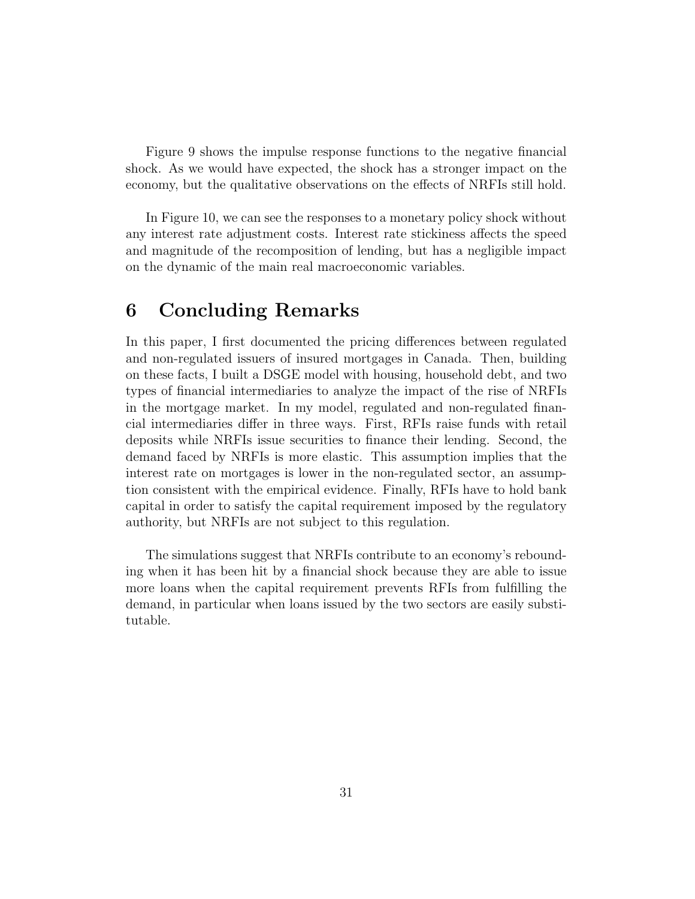Figure 9 shows the impulse response functions to the negative financial shock. As we would have expected, the shock has a stronger impact on the economy, but the qualitative observations on the effects of NRFIs still hold.

In Figure 10, we can see the responses to a monetary policy shock without any interest rate adjustment costs. Interest rate stickiness affects the speed and magnitude of the recomposition of lending, but has a negligible impact on the dynamic of the main real macroeconomic variables.

# 6 Concluding Remarks

In this paper, I first documented the pricing differences between regulated and non-regulated issuers of insured mortgages in Canada. Then, building on these facts, I built a DSGE model with housing, household debt, and two types of financial intermediaries to analyze the impact of the rise of NRFIs in the mortgage market. In my model, regulated and non-regulated financial intermediaries differ in three ways. First, RFIs raise funds with retail deposits while NRFIs issue securities to finance their lending. Second, the demand faced by NRFIs is more elastic. This assumption implies that the interest rate on mortgages is lower in the non-regulated sector, an assumption consistent with the empirical evidence. Finally, RFIs have to hold bank capital in order to satisfy the capital requirement imposed by the regulatory authority, but NRFIs are not subject to this regulation.

The simulations suggest that NRFIs contribute to an economy's rebounding when it has been hit by a financial shock because they are able to issue more loans when the capital requirement prevents RFIs from fulfilling the demand, in particular when loans issued by the two sectors are easily substitutable.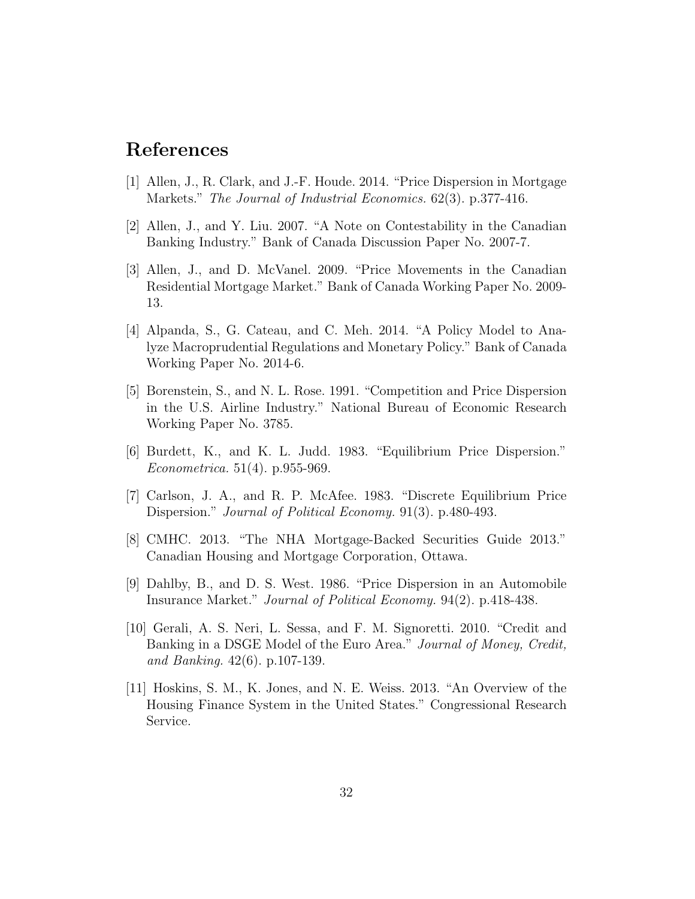# References

- [1] Allen, J., R. Clark, and J.-F. Houde. 2014. "Price Dispersion in Mortgage Markets." The Journal of Industrial Economics. 62(3). p.377-416.
- [2] Allen, J., and Y. Liu. 2007. "A Note on Contestability in the Canadian Banking Industry." Bank of Canada Discussion Paper No. 2007-7.
- [3] Allen, J., and D. McVanel. 2009. "Price Movements in the Canadian Residential Mortgage Market." Bank of Canada Working Paper No. 2009- 13.
- [4] Alpanda, S., G. Cateau, and C. Meh. 2014. "A Policy Model to Analyze Macroprudential Regulations and Monetary Policy." Bank of Canada Working Paper No. 2014-6.
- [5] Borenstein, S., and N. L. Rose. 1991. "Competition and Price Dispersion in the U.S. Airline Industry." National Bureau of Economic Research Working Paper No. 3785.
- [6] Burdett, K., and K. L. Judd. 1983. "Equilibrium Price Dispersion." Econometrica. 51(4). p.955-969.
- [7] Carlson, J. A., and R. P. McAfee. 1983. "Discrete Equilibrium Price Dispersion." Journal of Political Economy. 91(3). p.480-493.
- [8] CMHC. 2013. "The NHA Mortgage-Backed Securities Guide 2013." Canadian Housing and Mortgage Corporation, Ottawa.
- [9] Dahlby, B., and D. S. West. 1986. "Price Dispersion in an Automobile Insurance Market." Journal of Political Economy. 94(2). p.418-438.
- [10] Gerali, A. S. Neri, L. Sessa, and F. M. Signoretti. 2010. "Credit and Banking in a DSGE Model of the Euro Area." Journal of Money, Credit, and Banking. 42(6). p.107-139.
- [11] Hoskins, S. M., K. Jones, and N. E. Weiss. 2013. "An Overview of the Housing Finance System in the United States." Congressional Research Service.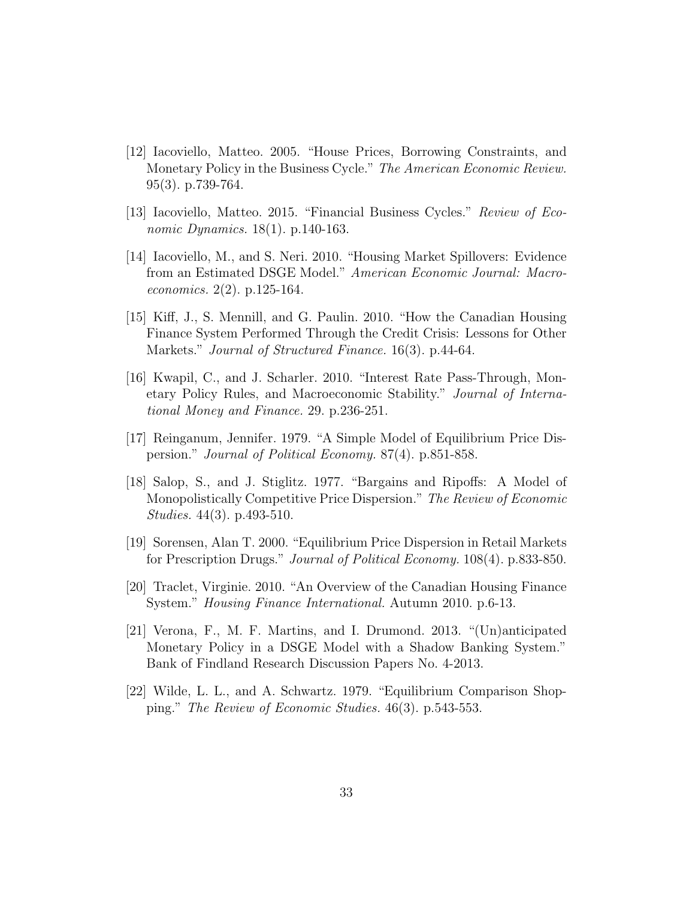- [12] Iacoviello, Matteo. 2005. "House Prices, Borrowing Constraints, and Monetary Policy in the Business Cycle." The American Economic Review. 95(3). p.739-764.
- [13] Iacoviello, Matteo. 2015. "Financial Business Cycles." Review of Economic Dynamics. 18(1). p.140-163.
- [14] Iacoviello, M., and S. Neri. 2010. "Housing Market Spillovers: Evidence from an Estimated DSGE Model." American Economic Journal: Macroeconomics. 2(2). p.125-164.
- [15] Kiff, J., S. Mennill, and G. Paulin. 2010. "How the Canadian Housing Finance System Performed Through the Credit Crisis: Lessons for Other Markets." *Journal of Structured Finance*. 16(3). p.44-64.
- [16] Kwapil, C., and J. Scharler. 2010. "Interest Rate Pass-Through, Monetary Policy Rules, and Macroeconomic Stability." Journal of International Money and Finance. 29. p.236-251.
- [17] Reinganum, Jennifer. 1979. "A Simple Model of Equilibrium Price Dispersion." Journal of Political Economy. 87(4). p.851-858.
- [18] Salop, S., and J. Stiglitz. 1977. "Bargains and Ripoffs: A Model of Monopolistically Competitive Price Dispersion." The Review of Economic Studies. 44(3). p.493-510.
- [19] Sorensen, Alan T. 2000. "Equilibrium Price Dispersion in Retail Markets for Prescription Drugs." Journal of Political Economy. 108(4). p.833-850.
- [20] Traclet, Virginie. 2010. "An Overview of the Canadian Housing Finance System." Housing Finance International. Autumn 2010. p.6-13.
- [21] Verona, F., M. F. Martins, and I. Drumond. 2013. "(Un)anticipated Monetary Policy in a DSGE Model with a Shadow Banking System." Bank of Findland Research Discussion Papers No. 4-2013.
- [22] Wilde, L. L., and A. Schwartz. 1979. "Equilibrium Comparison Shopping." The Review of Economic Studies. 46(3). p.543-553.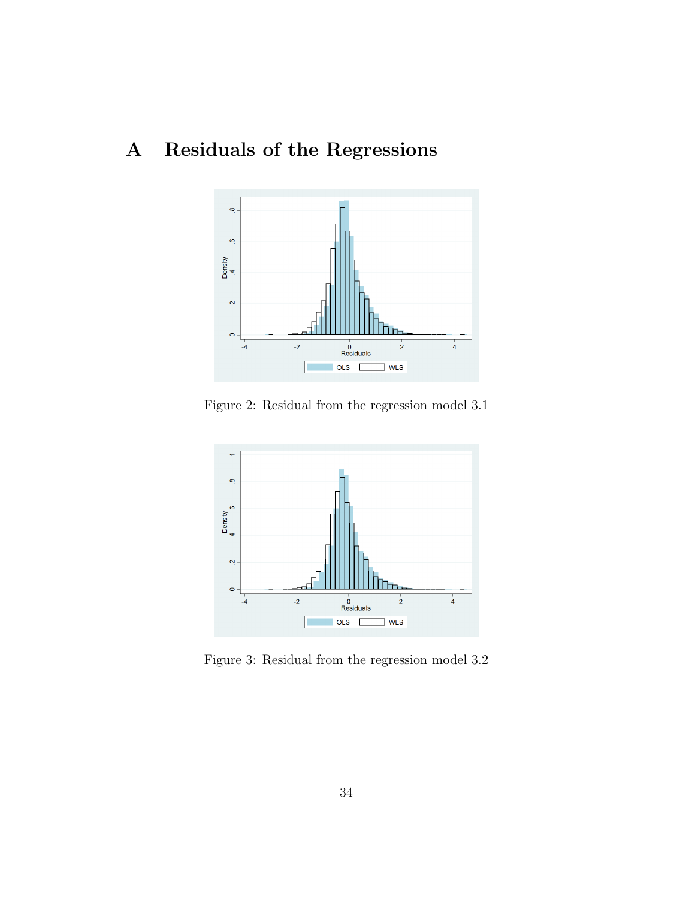# A Residuals of the Regressions



Figure 2: Residual from the regression model 3.1



Figure 3: Residual from the regression model 3.2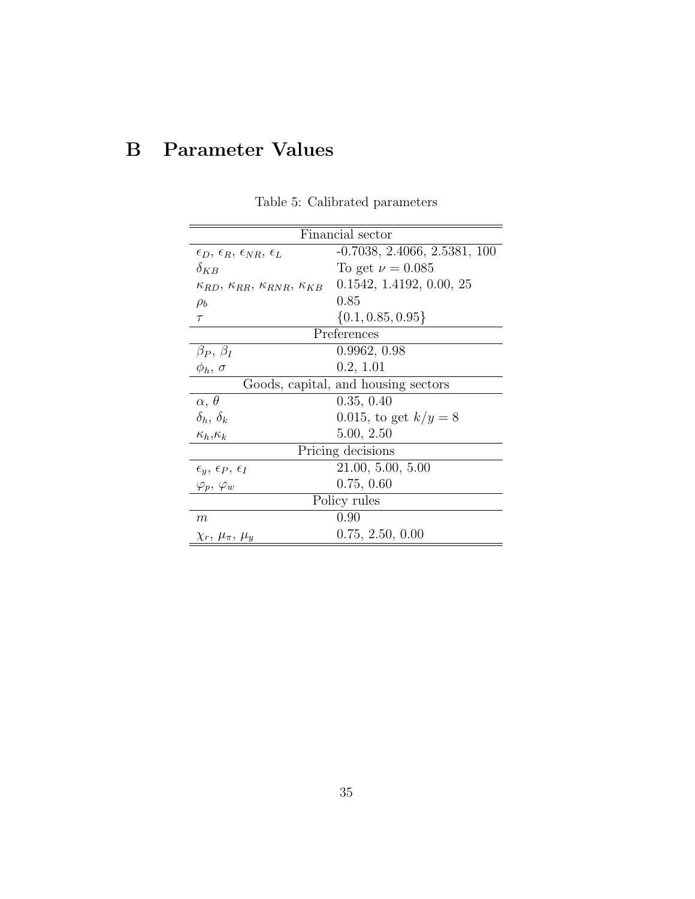# B Parameter Values

| Financial sector                                             |                                     |  |
|--------------------------------------------------------------|-------------------------------------|--|
| $\epsilon_D, \, \epsilon_R, \, \epsilon_{NR}, \, \epsilon_L$ | $-0.7038, 2.4066, 2.5381, 100$      |  |
| $\delta_{KB}$                                                | To get $\nu = 0.085$                |  |
| $\kappa_{RD}, \kappa_{RR}, \kappa_{RNR}, \kappa_{KR}$        | 0.1542, 1.4192, 0.00, 25            |  |
| $\rho_b$                                                     | 0.85                                |  |
| $\tau$                                                       | $\{0.1, 0.85, 0.95\}$               |  |
|                                                              | Preferences                         |  |
| $\beta_P, \beta_I$                                           | 0.9962, 0.98                        |  |
| $\phi_h$ , $\sigma$                                          | 0.2, 1.01                           |  |
|                                                              | Goods, capital, and housing sectors |  |
| $\alpha, \theta$                                             | 0.35, 0.40                          |  |
| $\delta_h$ , $\delta_k$                                      | 0.015, to get $k/y = 8$             |  |
| $\kappa_h, \kappa_k$                                         | 5.00, 2.50                          |  |
| Pricing decisions                                            |                                     |  |
| $\epsilon_y$ , $\epsilon_P$ , $\epsilon_I$                   | 21.00, 5.00, 5.00                   |  |
| $\varphi_p,\,\varphi_w$                                      | 0.75, 0.60                          |  |
| Policy rules                                                 |                                     |  |
| m                                                            | 0.90                                |  |
| $\chi_r, \mu_\pi, \mu_u$                                     | 0.75, 2.50, 0.00                    |  |

Table 5: Calibrated parameters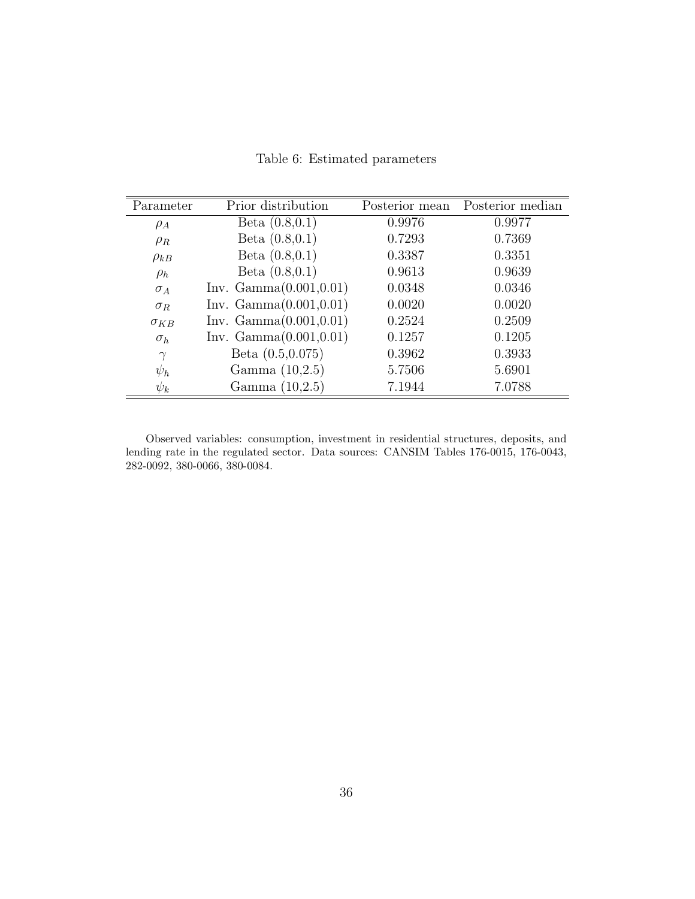|  |  | Table 6: Estimated parameters |
|--|--|-------------------------------|
|--|--|-------------------------------|

| Parameter     | Prior distribution      | Posterior mean | Posterior median |
|---------------|-------------------------|----------------|------------------|
| $\rho_A$      | Beta $(0.8, 0.1)$       | 0.9976         | 0.9977           |
| $\rho_R$      | Beta $(0.8, 0.1)$       | 0.7293         | 0.7369           |
| $\rho_{kB}$   | Beta $(0.8, 0.1)$       | 0.3387         | 0.3351           |
| $\rho_h$      | Beta $(0.8, 0.1)$       | 0.9613         | 0.9639           |
| $\sigma_A$    | Inv. Gamma(0.001, 0.01) | 0.0348         | 0.0346           |
| $\sigma_R$    | Inv. Gamma(0.001, 0.01) | 0.0020         | 0.0020           |
| $\sigma_{KB}$ | Inv. Gamma(0.001, 0.01) | 0.2524         | 0.2509           |
| $\sigma_h$    | Inv. Gamma(0.001, 0.01) | 0.1257         | 0.1205           |
| $\gamma$      | Beta $(0.5, 0.075)$     | 0.3962         | 0.3933           |
| $\psi_h$      | Gamma $(10,2.5)$        | 5.7506         | 5.6901           |
| $\psi_k$      | Gamma $(10,2.5)$        | 7.1944         | 7.0788           |

Observed variables: consumption, investment in residential structures, deposits, and lending rate in the regulated sector. Data sources: CANSIM Tables 176-0015, 176-0043, 282-0092, 380-0066, 380-0084.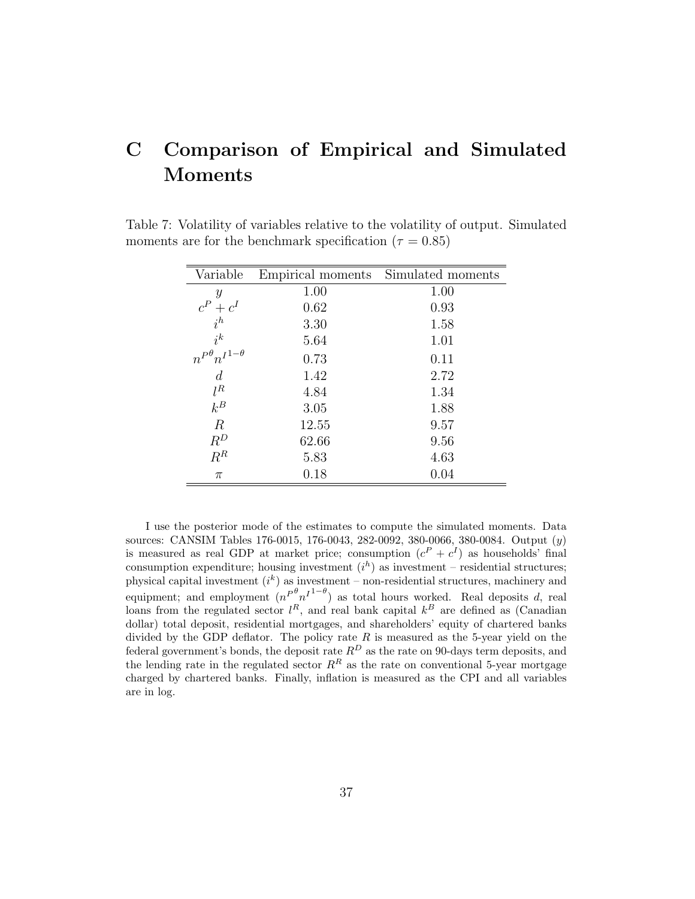# C Comparison of Empirical and Simulated Moments

| Variable                          | Empirical moments | Simulated moments |
|-----------------------------------|-------------------|-------------------|
| Y                                 | 1.00              | 1.00              |
| $\frac{c^P + c^I}{i^h}$           | 0.62              | 0.93              |
|                                   | 3.30              | 1.58              |
| $i^k$                             | 5.64              | 1.01              |
| $n^{P^{\theta}} n^{I^{1-\theta}}$ | 0.73              | 0.11              |
| $\boldsymbol{d}$                  | 1.42              | 2.72              |
| $l^R$                             | 4.84              | 1.34              |
| $k^B$                             | 3.05              | 1.88              |
| $\boldsymbol{R}$                  | 12.55             | 9.57              |
| $\mathbb{R}^D$                    | 62.66             | 9.56              |
| $R^R$                             | 5.83              | 4.63              |
| $\pi$                             | 0.18              | 0.04              |

Table 7: Volatility of variables relative to the volatility of output. Simulated moments are for the benchmark specification ( $\tau = 0.85$ )

I use the posterior mode of the estimates to compute the simulated moments. Data sources: CANSIM Tables 176-0015, 176-0043, 282-0092, 380-0066, 380-0084. Output (y) is measured as real GDP at market price; consumption  $(c^P + c^I)$  as households' final consumption expenditure; housing investment  $(i^h)$  as investment – residential structures; physical capital investment  $(i^k)$  as investment – non-residential structures, machinery and equipment; and employment  $(n^{P^{\theta} n^{I^{1-\theta}}})$  as total hours worked. Real deposits d, real loans from the regulated sector  $l^R$ , and real bank capital  $k^B$  are defined as (Canadian dollar) total deposit, residential mortgages, and shareholders' equity of chartered banks divided by the GDP deflator. The policy rate  $R$  is measured as the 5-year yield on the federal government's bonds, the deposit rate  $R^D$  as the rate on 90-days term deposits, and the lending rate in the regulated sector  $R^R$  as the rate on conventional 5-year mortgage charged by chartered banks. Finally, inflation is measured as the CPI and all variables are in log.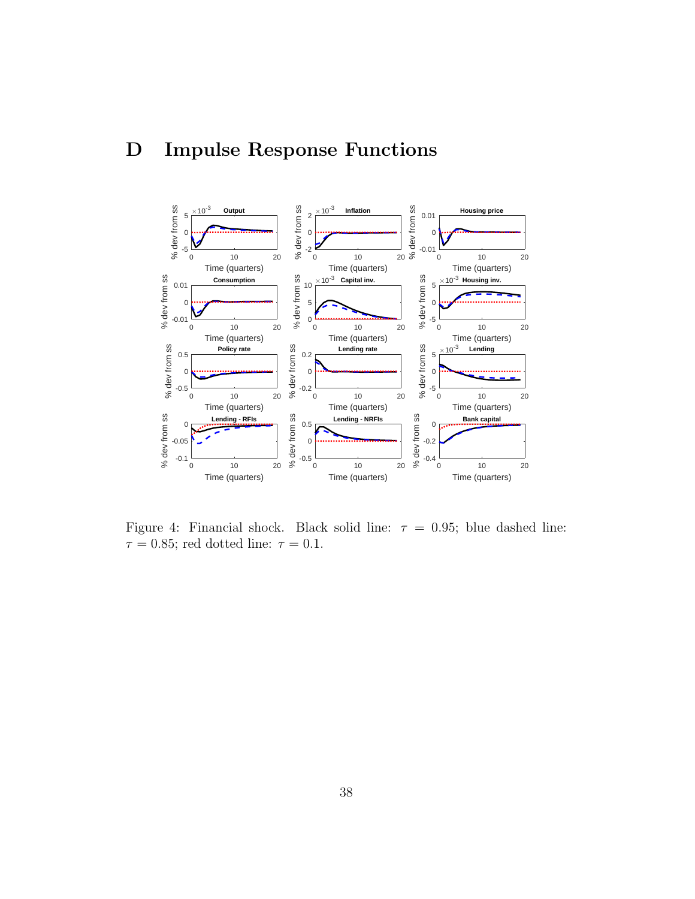# D Impulse Response Functions



Figure 4: Financial shock. Black solid line:  $\tau = 0.95$ ; blue dashed line:  $\tau = 0.85$ ; red dotted line:  $\tau = 0.1$ .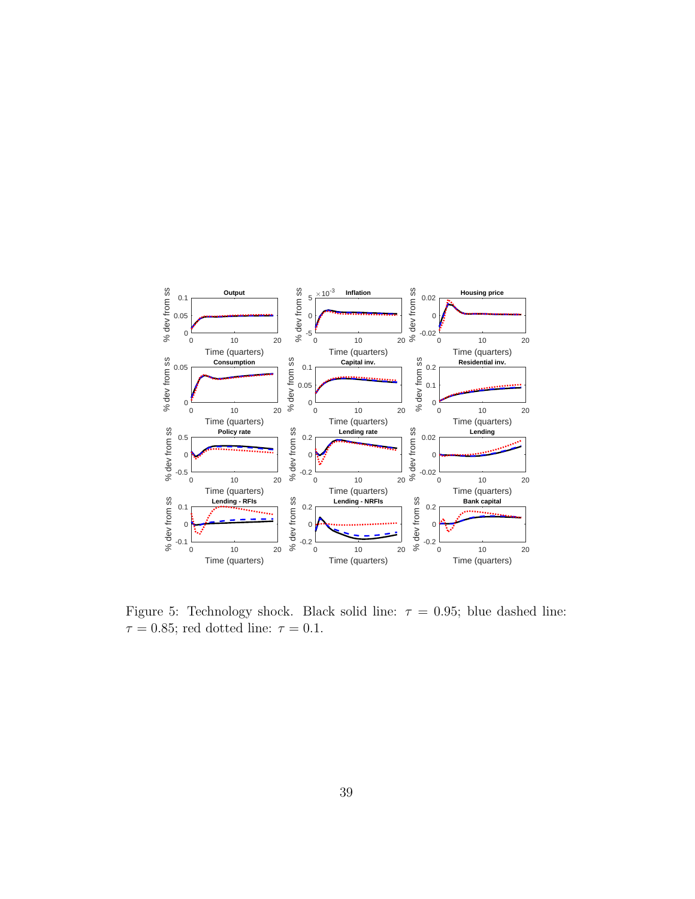

Figure 5: Technology shock. Black solid line:  $\tau = 0.95$ ; blue dashed line:  $\tau=0.85;$  red dotted line:  $\tau=0.1.$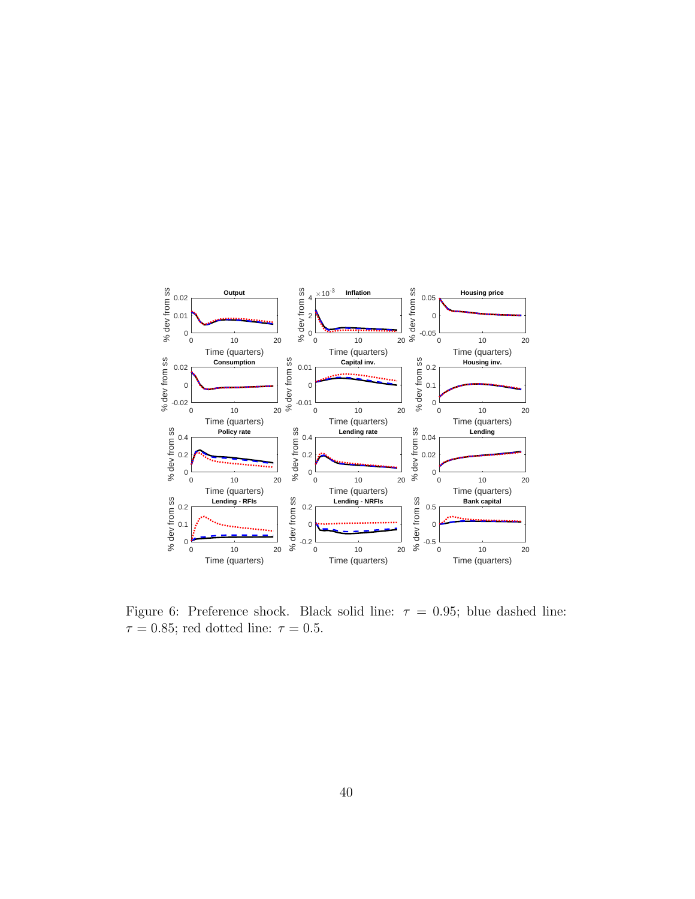

Figure 6: Preference shock. Black solid line:  $\tau = 0.95$ ; blue dashed line:  $\tau = 0.85$ ; red dotted line:  $\tau = 0.5$ .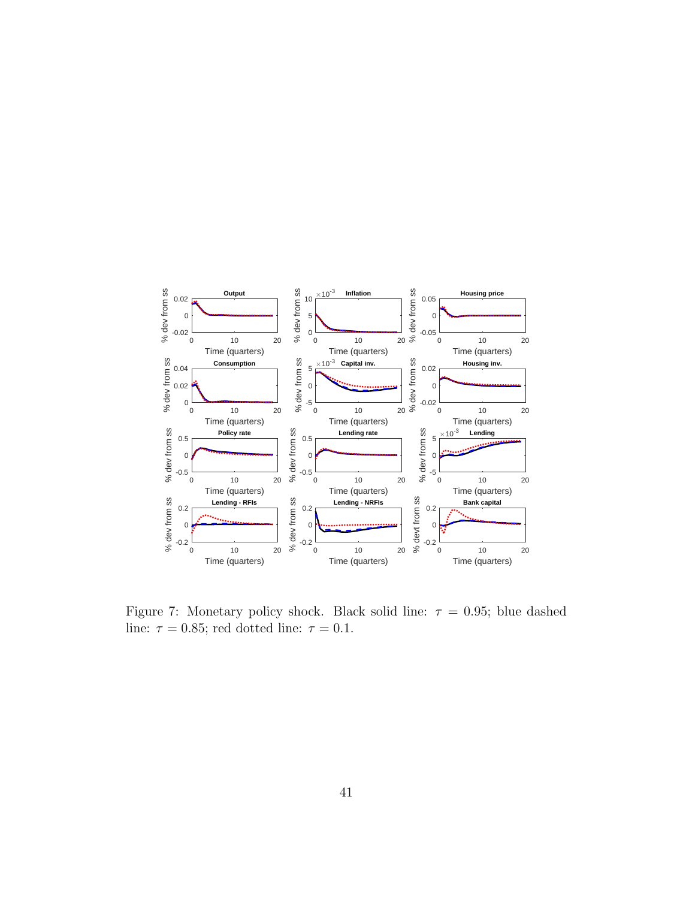

Figure 7: Monetary policy shock. Black solid line:  $\tau = 0.95$ ; blue dashed line:  $\tau = 0.85$ ; red dotted line:  $\tau = 0.1$ .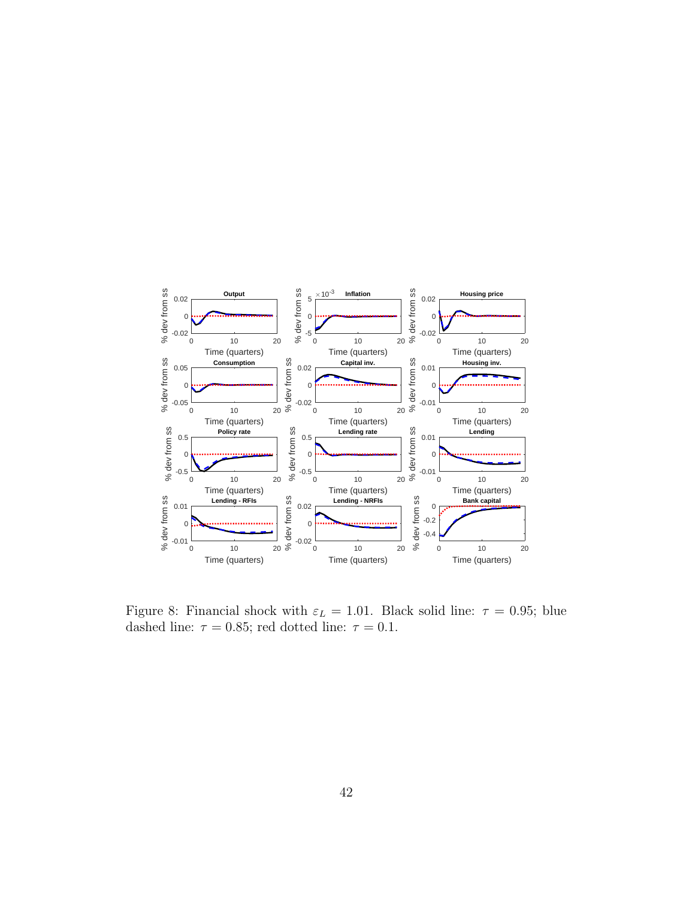

Figure 8: Financial shock with  $\varepsilon_L = 1.01$ . Black solid line:  $\tau = 0.95$ ; blue dashed line:  $\tau = 0.85$ ; red dotted line:  $\tau = 0.1$ .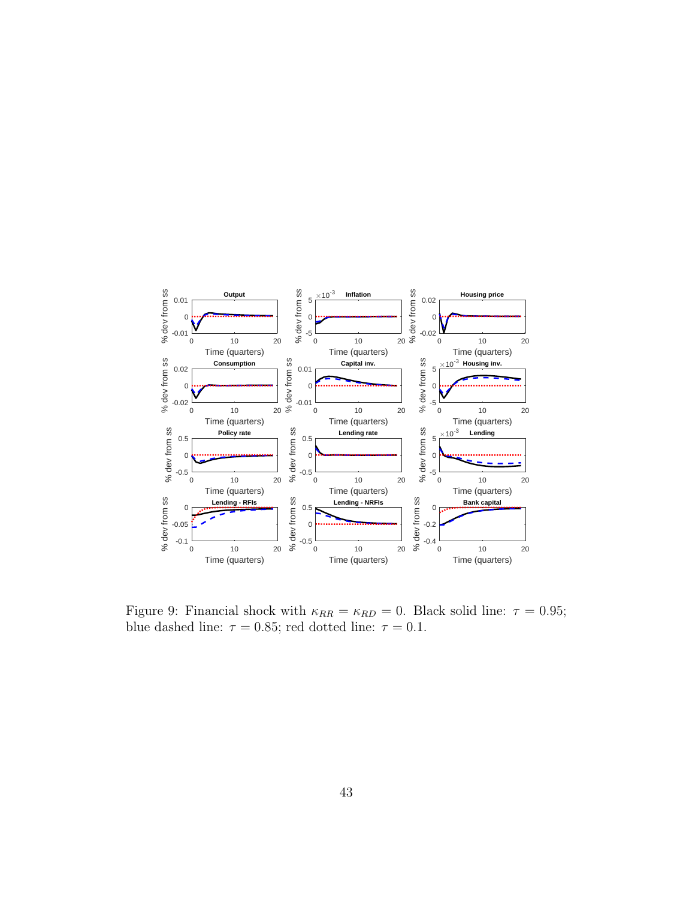

Figure 9: Financial shock with  $\kappa_{RR} = \kappa_{RD} = 0$ . Black solid line:  $\tau = 0.95$ ; blue dashed line:  $\tau = 0.85$ ; red dotted line:  $\tau = 0.1$ .